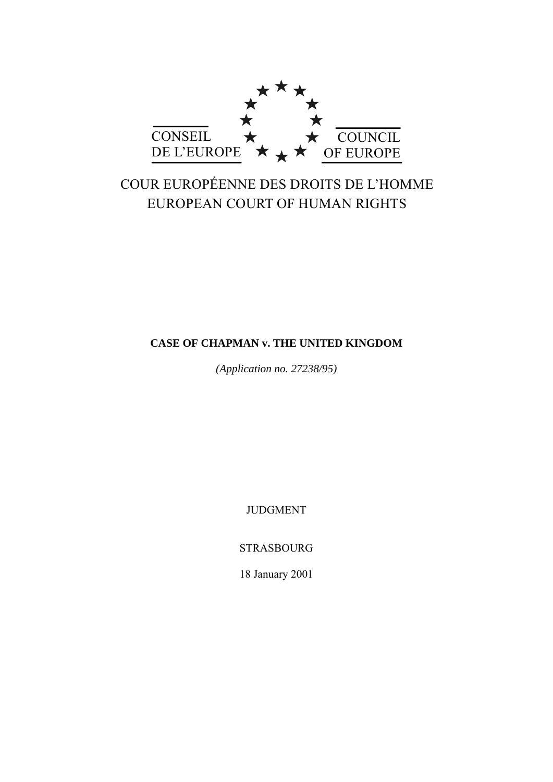

# COUR EUROPÉENNE DES DROITS DE L'HOMME EUROPEAN COURT OF HUMAN RIGHTS

## **CASE OF CHAPMAN v. THE UNITED KINGDOM**

*(Application no. 27238/95)*

JUDGMENT

STRASBOURG

18 January 2001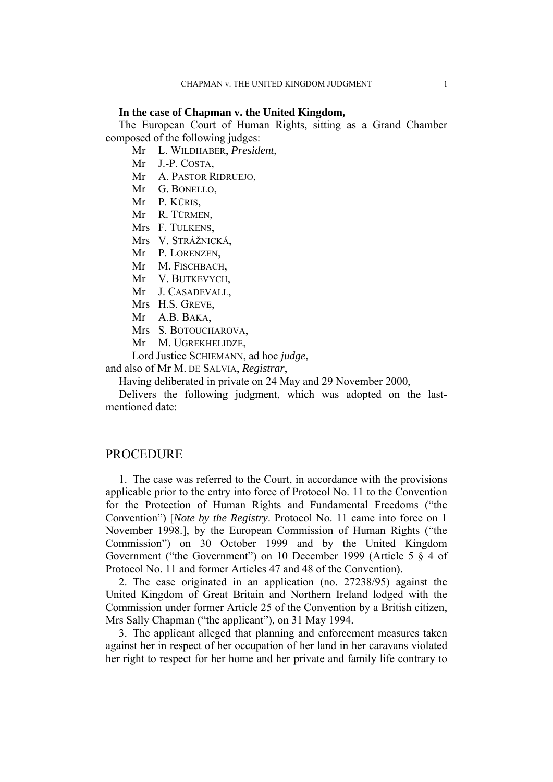#### **In the case of Chapman v. the United Kingdom,**

The European Court of Human Rights, sitting as a Grand Chamber composed of the following judges:

Mr L. WILDHABER, *President*,

Mr J.-P. COSTA,

Mr A. PASTOR RIDRUEJO,

Mr G. BONELLO,

Mr P. KŪRIS,

Mr R. TÜRMEN,

Mrs F. TULKENS,

Mrs V. STRÁŽNICKÁ,

Mr P. LORENZEN,

Mr M. FISCHBACH,

Mr V. BUTKEVYCH,

Mr J. CASADEVALL,

Mrs H.S. GREVE,

Mr A.B. BAKA,

Mrs S. BOTOUCHAROVA,

Mr M. UGREKHELIDZE,

Lord Justice SCHIEMANN, ad hoc *judge*,

and also of Mr M. DE SALVIA, *Registrar*,

Having deliberated in private on 24 May and 29 November 2000,

Delivers the following judgment, which was adopted on the lastmentioned date:

## PROCEDURE

1. The case was referred to the Court, in accordance with the provisions applicable prior to the entry into force of Protocol No. 11 to the Convention for the Protection of Human Rights and Fundamental Freedoms ("the Convention") [*Note by the Registry*. Protocol No. 11 came into force on 1 November 1998.], by the European Commission of Human Rights ("the Commission") on 30 October 1999 and by the United Kingdom Government ("the Government") on 10 December 1999 (Article 5 § 4 of Protocol No. 11 and former Articles 47 and 48 of the Convention).

2. The case originated in an application (no. 27238/95) against the United Kingdom of Great Britain and Northern Ireland lodged with the Commission under former Article 25 of the Convention by a British citizen, Mrs Sally Chapman ("the applicant"), on 31 May 1994.

3. The applicant alleged that planning and enforcement measures taken against her in respect of her occupation of her land in her caravans violated her right to respect for her home and her private and family life contrary to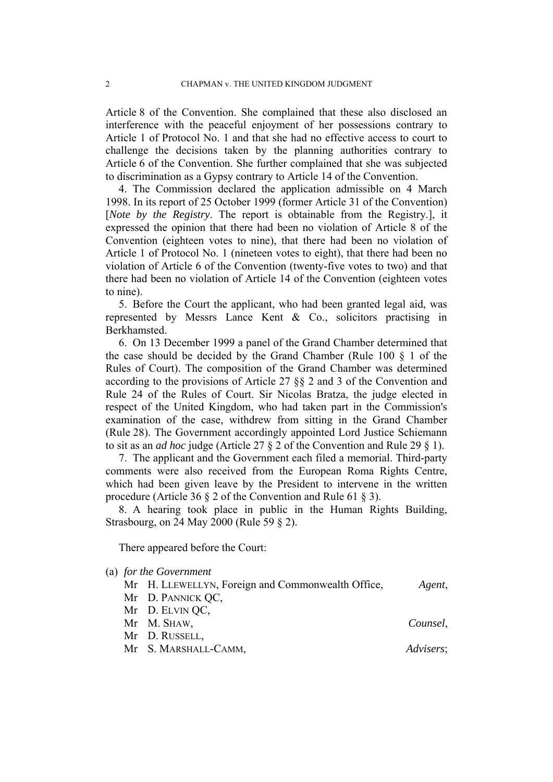Article 8 of the Convention. She complained that these also disclosed an interference with the peaceful enjoyment of her possessions contrary to Article 1 of Protocol No. 1 and that she had no effective access to court to challenge the decisions taken by the planning authorities contrary to Article 6 of the Convention. She further complained that she was subjected to discrimination as a Gypsy contrary to Article 14 of the Convention.

4. The Commission declared the application admissible on 4 March 1998. In its report of 25 October 1999 (former Article 31 of the Convention) [*Note by the Registry*. The report is obtainable from the Registry.], it expressed the opinion that there had been no violation of Article 8 of the Convention (eighteen votes to nine), that there had been no violation of Article 1 of Protocol No. 1 (nineteen votes to eight), that there had been no violation of Article 6 of the Convention (twenty-five votes to two) and that there had been no violation of Article 14 of the Convention (eighteen votes to nine).

5. Before the Court the applicant, who had been granted legal aid, was represented by Messrs Lance Kent & Co., solicitors practising in **Berkhamsted** 

6. On 13 December 1999 a panel of the Grand Chamber determined that the case should be decided by the Grand Chamber (Rule 100 § 1 of the Rules of Court). The composition of the Grand Chamber was determined according to the provisions of Article 27 §§ 2 and 3 of the Convention and Rule 24 of the Rules of Court. Sir Nicolas Bratza, the judge elected in respect of the United Kingdom, who had taken part in the Commission's examination of the case, withdrew from sitting in the Grand Chamber (Rule 28). The Government accordingly appointed Lord Justice Schiemann to sit as an *ad hoc* judge (Article 27 § 2 of the Convention and Rule 29 § 1).

7. The applicant and the Government each filed a memorial. Third-party comments were also received from the European Roma Rights Centre, which had been given leave by the President to intervene in the written procedure (Article 36 § 2 of the Convention and Rule 61 § 3).

8. A hearing took place in public in the Human Rights Building, Strasbourg, on 24 May 2000 (Rule 59 § 2).

There appeared before the Court:

| (a) for the Government |                                                   |           |
|------------------------|---------------------------------------------------|-----------|
|                        | Mr H. LLEWELLYN, Foreign and Commonwealth Office, | Agent,    |
|                        | Mr D. PANNICK QC,                                 |           |
|                        | Mr D. ELVIN QC,                                   |           |
|                        | Mr M. SHAW,                                       | Counsel,  |
|                        | Mr D. RUSSELL,                                    |           |
|                        | Mr S. MARSHALL-CAMM,                              | Advisers; |
|                        |                                                   |           |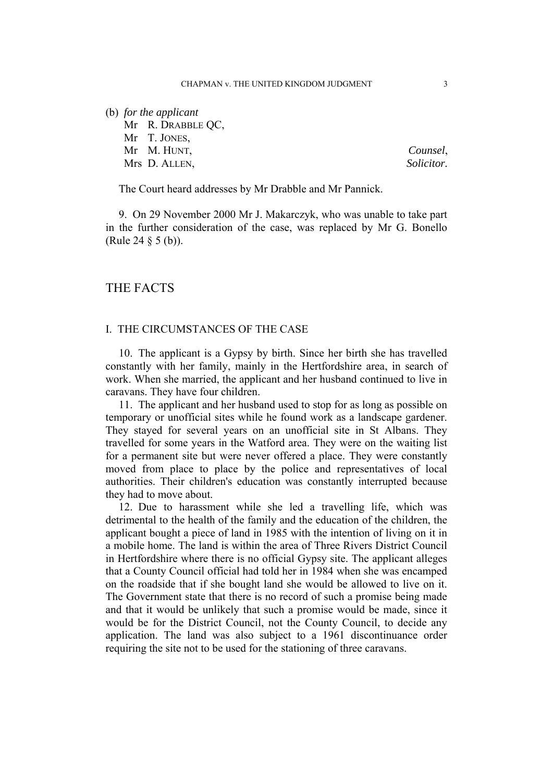(b) *for the applicant*

Mr R. DRABBLE OC, Mr T. JONES, Mr M. HUNT, *Counsel*, Mrs D. ALLEN, *Solicitor*.

The Court heard addresses by Mr Drabble and Mr Pannick.

9. On 29 November 2000 Mr J. Makarczyk, who was unable to take part in the further consideration of the case, was replaced by Mr G. Bonello (Rule 24 § 5 (b)).

## THE FACTS

### I. THE CIRCUMSTANCES OF THE CASE

10. The applicant is a Gypsy by birth. Since her birth she has travelled constantly with her family, mainly in the Hertfordshire area, in search of work. When she married, the applicant and her husband continued to live in caravans. They have four children.

11. The applicant and her husband used to stop for as long as possible on temporary or unofficial sites while he found work as a landscape gardener. They stayed for several years on an unofficial site in St Albans. They travelled for some years in the Watford area. They were on the waiting list for a permanent site but were never offered a place. They were constantly moved from place to place by the police and representatives of local authorities. Their children's education was constantly interrupted because they had to move about.

12. Due to harassment while she led a travelling life, which was detrimental to the health of the family and the education of the children, the applicant bought a piece of land in 1985 with the intention of living on it in a mobile home. The land is within the area of Three Rivers District Council in Hertfordshire where there is no official Gypsy site. The applicant alleges that a County Council official had told her in 1984 when she was encamped on the roadside that if she bought land she would be allowed to live on it. The Government state that there is no record of such a promise being made and that it would be unlikely that such a promise would be made, since it would be for the District Council, not the County Council, to decide any application. The land was also subject to a 1961 discontinuance order requiring the site not to be used for the stationing of three caravans.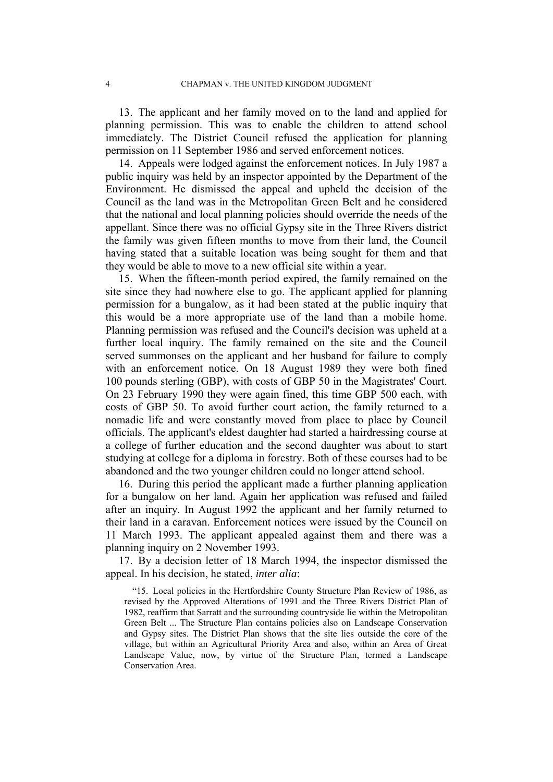13. The applicant and her family moved on to the land and applied for planning permission. This was to enable the children to attend school immediately. The District Council refused the application for planning permission on 11 September 1986 and served enforcement notices.

14. Appeals were lodged against the enforcement notices. In July 1987 a public inquiry was held by an inspector appointed by the Department of the Environment. He dismissed the appeal and upheld the decision of the Council as the land was in the Metropolitan Green Belt and he considered that the national and local planning policies should override the needs of the appellant. Since there was no official Gypsy site in the Three Rivers district the family was given fifteen months to move from their land, the Council having stated that a suitable location was being sought for them and that they would be able to move to a new official site within a year.

15. When the fifteen-month period expired, the family remained on the site since they had nowhere else to go. The applicant applied for planning permission for a bungalow, as it had been stated at the public inquiry that this would be a more appropriate use of the land than a mobile home. Planning permission was refused and the Council's decision was upheld at a further local inquiry. The family remained on the site and the Council served summonses on the applicant and her husband for failure to comply with an enforcement notice. On 18 August 1989 they were both fined 100 pounds sterling (GBP), with costs of GBP 50 in the Magistrates' Court. On 23 February 1990 they were again fined, this time GBP 500 each, with costs of GBP 50. To avoid further court action, the family returned to a nomadic life and were constantly moved from place to place by Council officials. The applicant's eldest daughter had started a hairdressing course at a college of further education and the second daughter was about to start studying at college for a diploma in forestry. Both of these courses had to be abandoned and the two younger children could no longer attend school.

16. During this period the applicant made a further planning application for a bungalow on her land. Again her application was refused and failed after an inquiry. In August 1992 the applicant and her family returned to their land in a caravan. Enforcement notices were issued by the Council on 11 March 1993. The applicant appealed against them and there was a planning inquiry on 2 November 1993.

17. By a decision letter of 18 March 1994, the inspector dismissed the appeal. In his decision, he stated, *inter alia*:

"15. Local policies in the Hertfordshire County Structure Plan Review of 1986, as revised by the Approved Alterations of 1991 and the Three Rivers District Plan of 1982, reaffirm that Sarratt and the surrounding countryside lie within the Metropolitan Green Belt ... The Structure Plan contains policies also on Landscape Conservation and Gypsy sites. The District Plan shows that the site lies outside the core of the village, but within an Agricultural Priority Area and also, within an Area of Great Landscape Value, now, by virtue of the Structure Plan, termed a Landscape Conservation Area.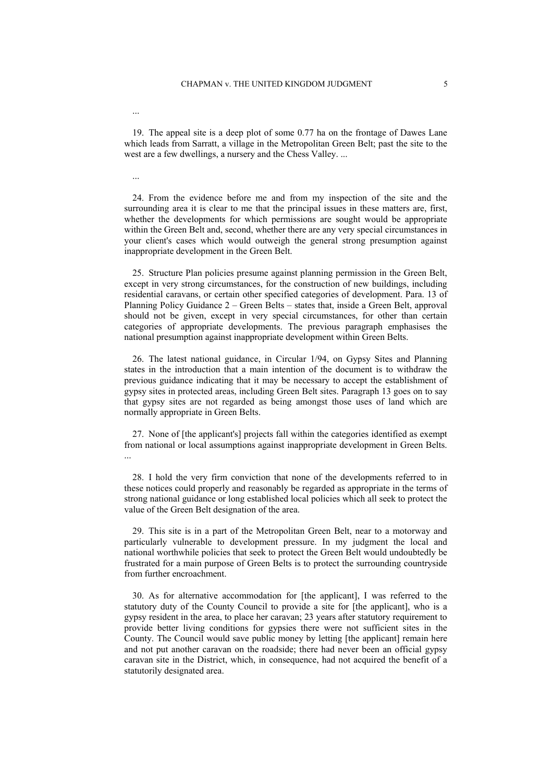...

...

19. The appeal site is a deep plot of some 0.77 ha on the frontage of Dawes Lane which leads from Sarratt, a village in the Metropolitan Green Belt; past the site to the west are a few dwellings, a nursery and the Chess Valley. ...

24. From the evidence before me and from my inspection of the site and the surrounding area it is clear to me that the principal issues in these matters are, first, whether the developments for which permissions are sought would be appropriate within the Green Belt and, second, whether there are any very special circumstances in your client's cases which would outweigh the general strong presumption against inappropriate development in the Green Belt.

25. Structure Plan policies presume against planning permission in the Green Belt, except in very strong circumstances, for the construction of new buildings, including residential caravans, or certain other specified categories of development. Para. 13 of Planning Policy Guidance 2 – Green Belts – states that, inside a Green Belt, approval should not be given, except in very special circumstances, for other than certain categories of appropriate developments. The previous paragraph emphasises the national presumption against inappropriate development within Green Belts.

26. The latest national guidance, in Circular 1/94, on Gypsy Sites and Planning states in the introduction that a main intention of the document is to withdraw the previous guidance indicating that it may be necessary to accept the establishment of gypsy sites in protected areas, including Green Belt sites. Paragraph 13 goes on to say that gypsy sites are not regarded as being amongst those uses of land which are normally appropriate in Green Belts.

27. None of [the applicant's] projects fall within the categories identified as exempt from national or local assumptions against inappropriate development in Green Belts. ...

28. I hold the very firm conviction that none of the developments referred to in these notices could properly and reasonably be regarded as appropriate in the terms of strong national guidance or long established local policies which all seek to protect the value of the Green Belt designation of the area.

29. This site is in a part of the Metropolitan Green Belt, near to a motorway and particularly vulnerable to development pressure. In my judgment the local and national worthwhile policies that seek to protect the Green Belt would undoubtedly be frustrated for a main purpose of Green Belts is to protect the surrounding countryside from further encroachment.

30. As for alternative accommodation for [the applicant], I was referred to the statutory duty of the County Council to provide a site for [the applicant], who is a gypsy resident in the area, to place her caravan; 23 years after statutory requirement to provide better living conditions for gypsies there were not sufficient sites in the County. The Council would save public money by letting [the applicant] remain here and not put another caravan on the roadside; there had never been an official gypsy caravan site in the District, which, in consequence, had not acquired the benefit of a statutorily designated area.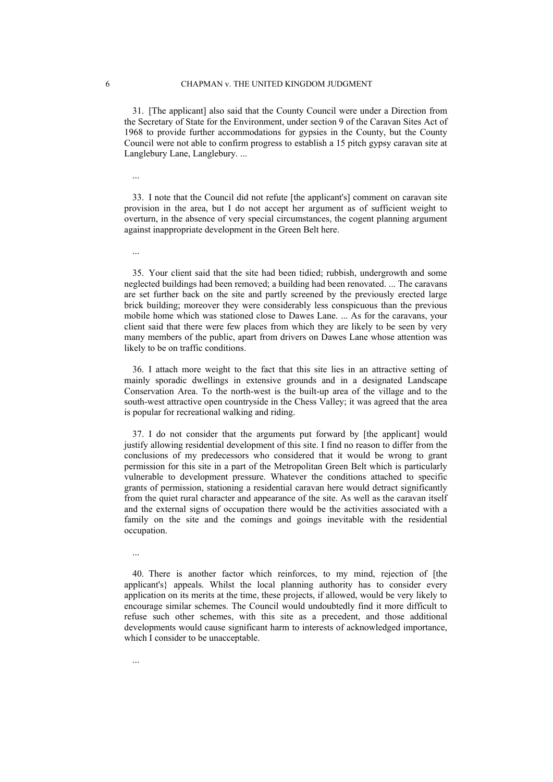31. [The applicant] also said that the County Council were under a Direction from the Secretary of State for the Environment, under section 9 of the Caravan Sites Act of 1968 to provide further accommodations for gypsies in the County, but the County Council were not able to confirm progress to establish a 15 pitch gypsy caravan site at Langlebury Lane, Langlebury. ...

...

...

...

...

33. I note that the Council did not refute [the applicant's] comment on caravan site provision in the area, but I do not accept her argument as of sufficient weight to overturn, in the absence of very special circumstances, the cogent planning argument against inappropriate development in the Green Belt here.

35. Your client said that the site had been tidied; rubbish, undergrowth and some neglected buildings had been removed; a building had been renovated. ... The caravans are set further back on the site and partly screened by the previously erected large brick building; moreover they were considerably less conspicuous than the previous mobile home which was stationed close to Dawes Lane. ... As for the caravans, your client said that there were few places from which they are likely to be seen by very many members of the public, apart from drivers on Dawes Lane whose attention was likely to be on traffic conditions.

36. I attach more weight to the fact that this site lies in an attractive setting of mainly sporadic dwellings in extensive grounds and in a designated Landscape Conservation Area. To the north-west is the built-up area of the village and to the south-west attractive open countryside in the Chess Valley; it was agreed that the area is popular for recreational walking and riding.

37. I do not consider that the arguments put forward by [the applicant] would justify allowing residential development of this site. I find no reason to differ from the conclusions of my predecessors who considered that it would be wrong to grant permission for this site in a part of the Metropolitan Green Belt which is particularly vulnerable to development pressure. Whatever the conditions attached to specific grants of permission, stationing a residential caravan here would detract significantly from the quiet rural character and appearance of the site. As well as the caravan itself and the external signs of occupation there would be the activities associated with a family on the site and the comings and goings inevitable with the residential occupation.

40. There is another factor which reinforces, to my mind, rejection of [the applicant's} appeals. Whilst the local planning authority has to consider every application on its merits at the time, these projects, if allowed, would be very likely to encourage similar schemes. The Council would undoubtedly find it more difficult to refuse such other schemes, with this site as a precedent, and those additional developments would cause significant harm to interests of acknowledged importance, which I consider to be unacceptable.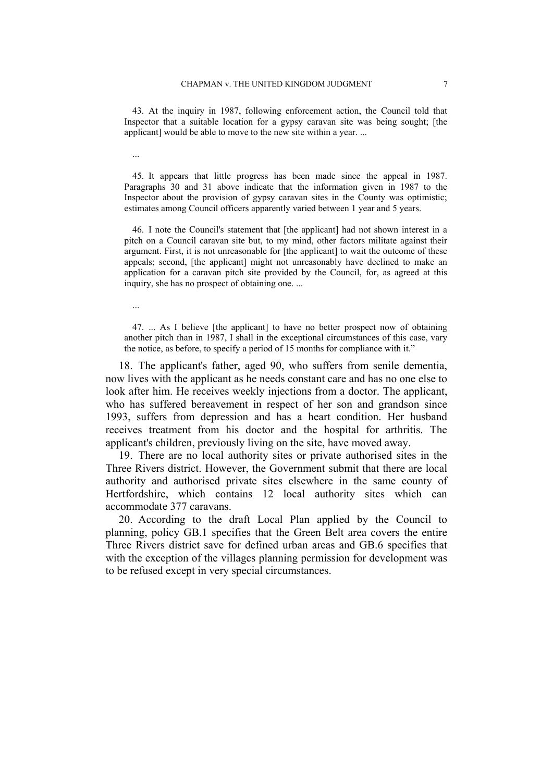43. At the inquiry in 1987, following enforcement action, the Council told that Inspector that a suitable location for a gypsy caravan site was being sought; [the applicant] would be able to move to the new site within a year. ...

45. It appears that little progress has been made since the appeal in 1987. Paragraphs 30 and 31 above indicate that the information given in 1987 to the Inspector about the provision of gypsy caravan sites in the County was optimistic; estimates among Council officers apparently varied between 1 year and 5 years.

46. I note the Council's statement that [the applicant] had not shown interest in a pitch on a Council caravan site but, to my mind, other factors militate against their argument. First, it is not unreasonable for [the applicant] to wait the outcome of these appeals; second, [the applicant] might not unreasonably have declined to make an application for a caravan pitch site provided by the Council, for, as agreed at this inquiry, she has no prospect of obtaining one. ...

...

...

47. ... As I believe [the applicant] to have no better prospect now of obtaining another pitch than in 1987, I shall in the exceptional circumstances of this case, vary the notice, as before, to specify a period of 15 months for compliance with it."

18. The applicant's father, aged 90, who suffers from senile dementia, now lives with the applicant as he needs constant care and has no one else to look after him. He receives weekly injections from a doctor. The applicant, who has suffered bereavement in respect of her son and grandson since 1993, suffers from depression and has a heart condition. Her husband receives treatment from his doctor and the hospital for arthritis. The applicant's children, previously living on the site, have moved away.

19. There are no local authority sites or private authorised sites in the Three Rivers district. However, the Government submit that there are local authority and authorised private sites elsewhere in the same county of Hertfordshire, which contains 12 local authority sites which can accommodate 377 caravans.

20. According to the draft Local Plan applied by the Council to planning, policy GB.1 specifies that the Green Belt area covers the entire Three Rivers district save for defined urban areas and GB.6 specifies that with the exception of the villages planning permission for development was to be refused except in very special circumstances.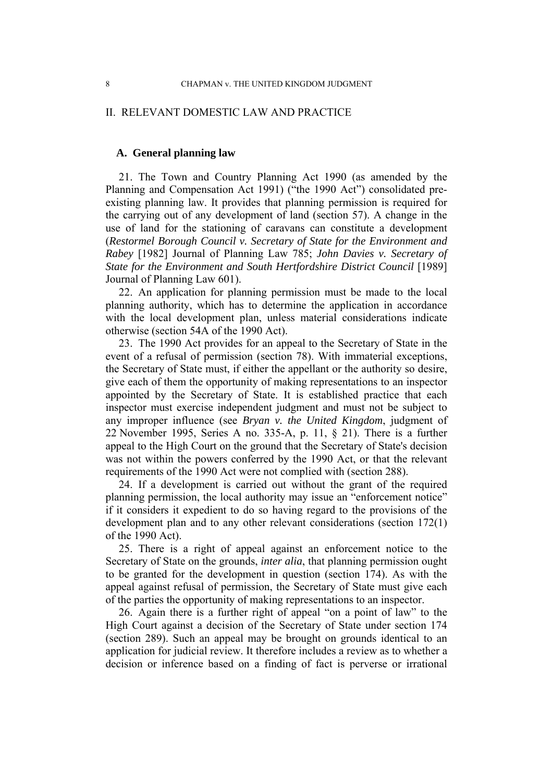## II. RELEVANT DOMESTIC LAW AND PRACTICE

## **A. General planning law**

21. The Town and Country Planning Act 1990 (as amended by the Planning and Compensation Act 1991) ("the 1990 Act") consolidated preexisting planning law. It provides that planning permission is required for the carrying out of any development of land (section 57). A change in the use of land for the stationing of caravans can constitute a development (*Restormel Borough Council v. Secretary of State for the Environment and Rabey* [1982] Journal of Planning Law 785; *John Davies v. Secretary of State for the Environment and South Hertfordshire District Council* [1989] Journal of Planning Law 601).

22. An application for planning permission must be made to the local planning authority, which has to determine the application in accordance with the local development plan, unless material considerations indicate otherwise (section 54A of the 1990 Act).

23. The 1990 Act provides for an appeal to the Secretary of State in the event of a refusal of permission (section 78). With immaterial exceptions, the Secretary of State must, if either the appellant or the authority so desire, give each of them the opportunity of making representations to an inspector appointed by the Secretary of State. It is established practice that each inspector must exercise independent judgment and must not be subject to any improper influence (see *Bryan v. the United Kingdom*, judgment of 22 November 1995, Series A no. 335-A, p. 11, § 21). There is a further appeal to the High Court on the ground that the Secretary of State's decision was not within the powers conferred by the 1990 Act, or that the relevant requirements of the 1990 Act were not complied with (section 288).

24. If a development is carried out without the grant of the required planning permission, the local authority may issue an "enforcement notice" if it considers it expedient to do so having regard to the provisions of the development plan and to any other relevant considerations (section 172(1) of the 1990 Act).

25. There is a right of appeal against an enforcement notice to the Secretary of State on the grounds, *inter alia*, that planning permission ought to be granted for the development in question (section 174). As with the appeal against refusal of permission, the Secretary of State must give each of the parties the opportunity of making representations to an inspector.

26. Again there is a further right of appeal "on a point of law" to the High Court against a decision of the Secretary of State under section 174 (section 289). Such an appeal may be brought on grounds identical to an application for judicial review. It therefore includes a review as to whether a decision or inference based on a finding of fact is perverse or irrational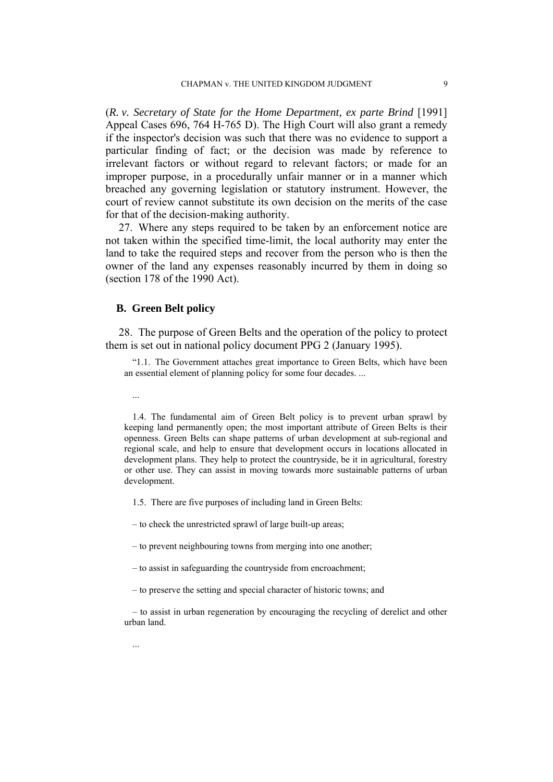(*R. v. Secretary of State for the Home Department, ex parte Brind* [1991] Appeal Cases 696, 764 H-765 D). The High Court will also grant a remedy if the inspector's decision was such that there was no evidence to support a particular finding of fact; or the decision was made by reference to irrelevant factors or without regard to relevant factors; or made for an improper purpose, in a procedurally unfair manner or in a manner which breached any governing legislation or statutory instrument. However, the court of review cannot substitute its own decision on the merits of the case for that of the decision-making authority.

27. Where any steps required to be taken by an enforcement notice are not taken within the specified time-limit, the local authority may enter the land to take the required steps and recover from the person who is then the owner of the land any expenses reasonably incurred by them in doing so (section 178 of the 1990 Act).

#### **B. Green Belt policy**

...

28. The purpose of Green Belts and the operation of the policy to protect them is set out in national policy document PPG 2 (January 1995).

"1.1. The Government attaches great importance to Green Belts, which have been an essential element of planning policy for some four decades. ...

1.4. The fundamental aim of Green Belt policy is to prevent urban sprawl by keeping land permanently open; the most important attribute of Green Belts is their openness. Green Belts can shape patterns of urban development at sub-regional and regional scale, and help to ensure that development occurs in locations allocated in development plans. They help to protect the countryside, be it in agricultural, forestry or other use. They can assist in moving towards more sustainable patterns of urban development.

1.5. There are five purposes of including land in Green Belts:

– to check the unrestricted sprawl of large built-up areas;

– to prevent neighbouring towns from merging into one another;

– to assist in safeguarding the countryside from encroachment;

– to preserve the setting and special character of historic towns; and

– to assist in urban regeneration by encouraging the recycling of derelict and other urban land.

...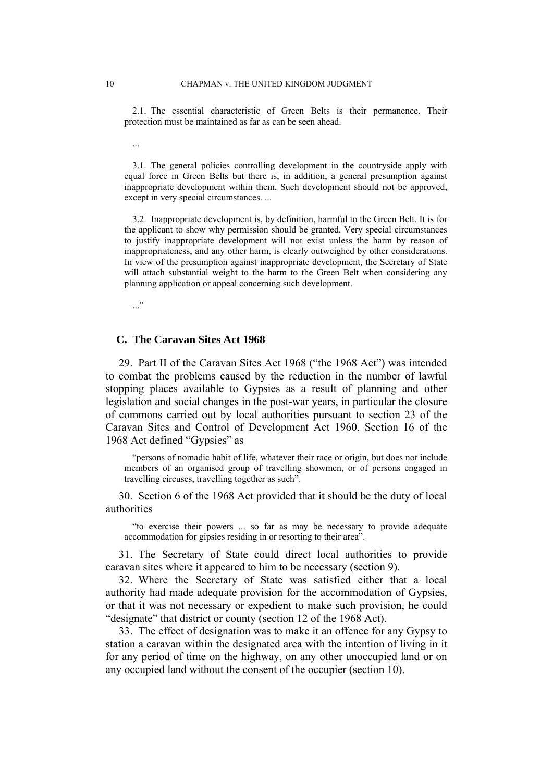2.1. The essential characteristic of Green Belts is their permanence. Their protection must be maintained as far as can be seen ahead.

3.1. The general policies controlling development in the countryside apply with equal force in Green Belts but there is, in addition, a general presumption against inappropriate development within them. Such development should not be approved, except in very special circumstances. ...

3.2. Inappropriate development is, by definition, harmful to the Green Belt. It is for the applicant to show why permission should be granted. Very special circumstances to justify inappropriate development will not exist unless the harm by reason of inappropriateness, and any other harm, is clearly outweighed by other considerations. In view of the presumption against inappropriate development, the Secretary of State will attach substantial weight to the harm to the Green Belt when considering any planning application or appeal concerning such development.

..."

...

#### **C. The Caravan Sites Act 1968**

29. Part II of the Caravan Sites Act 1968 ("the 1968 Act") was intended to combat the problems caused by the reduction in the number of lawful stopping places available to Gypsies as a result of planning and other legislation and social changes in the post-war years, in particular the closure of commons carried out by local authorities pursuant to section 23 of the Caravan Sites and Control of Development Act 1960. Section 16 of the 1968 Act defined "Gypsies" as

"persons of nomadic habit of life, whatever their race or origin, but does not include members of an organised group of travelling showmen, or of persons engaged in travelling circuses, travelling together as such".

30. Section 6 of the 1968 Act provided that it should be the duty of local authorities

"to exercise their powers ... so far as may be necessary to provide adequate accommodation for gipsies residing in or resorting to their area".

31. The Secretary of State could direct local authorities to provide caravan sites where it appeared to him to be necessary (section 9).

32. Where the Secretary of State was satisfied either that a local authority had made adequate provision for the accommodation of Gypsies, or that it was not necessary or expedient to make such provision, he could "designate" that district or county (section 12 of the 1968 Act).

33. The effect of designation was to make it an offence for any Gypsy to station a caravan within the designated area with the intention of living in it for any period of time on the highway, on any other unoccupied land or on any occupied land without the consent of the occupier (section 10).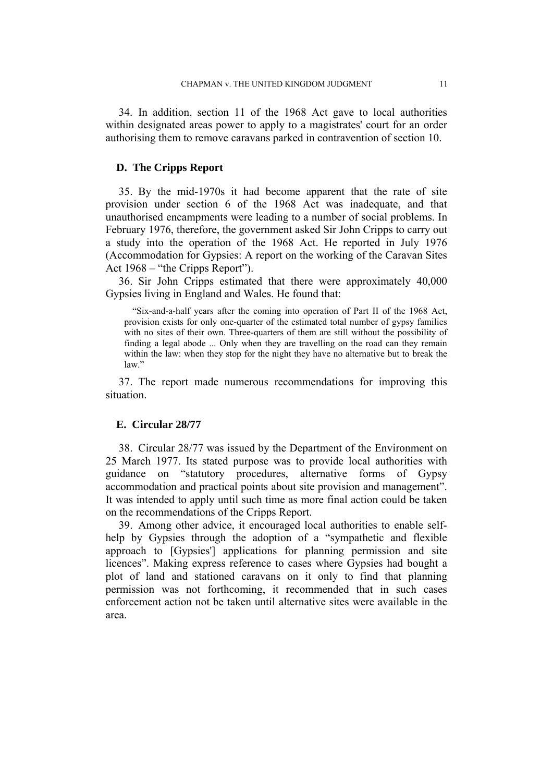34. In addition, section 11 of the 1968 Act gave to local authorities within designated areas power to apply to a magistrates' court for an order authorising them to remove caravans parked in contravention of section 10.

#### **D. The Cripps Report**

35. By the mid-1970s it had become apparent that the rate of site provision under section 6 of the 1968 Act was inadequate, and that unauthorised encampments were leading to a number of social problems. In February 1976, therefore, the government asked Sir John Cripps to carry out a study into the operation of the 1968 Act. He reported in July 1976 (Accommodation for Gypsies: A report on the working of the Caravan Sites Act 1968 – "the Cripps Report").

36. Sir John Cripps estimated that there were approximately 40,000 Gypsies living in England and Wales. He found that:

"Six-and-a-half years after the coming into operation of Part II of the 1968 Act, provision exists for only one-quarter of the estimated total number of gypsy families with no sites of their own. Three-quarters of them are still without the possibility of finding a legal abode ... Only when they are travelling on the road can they remain within the law: when they stop for the night they have no alternative but to break the law."

37. The report made numerous recommendations for improving this situation.

#### **E. Circular 28/77**

38. Circular 28/77 was issued by the Department of the Environment on 25 March 1977. Its stated purpose was to provide local authorities with guidance on "statutory procedures, alternative forms of Gypsy accommodation and practical points about site provision and management". It was intended to apply until such time as more final action could be taken on the recommendations of the Cripps Report.

39. Among other advice, it encouraged local authorities to enable selfhelp by Gypsies through the adoption of a "sympathetic and flexible approach to [Gypsies'] applications for planning permission and site licences". Making express reference to cases where Gypsies had bought a plot of land and stationed caravans on it only to find that planning permission was not forthcoming, it recommended that in such cases enforcement action not be taken until alternative sites were available in the area.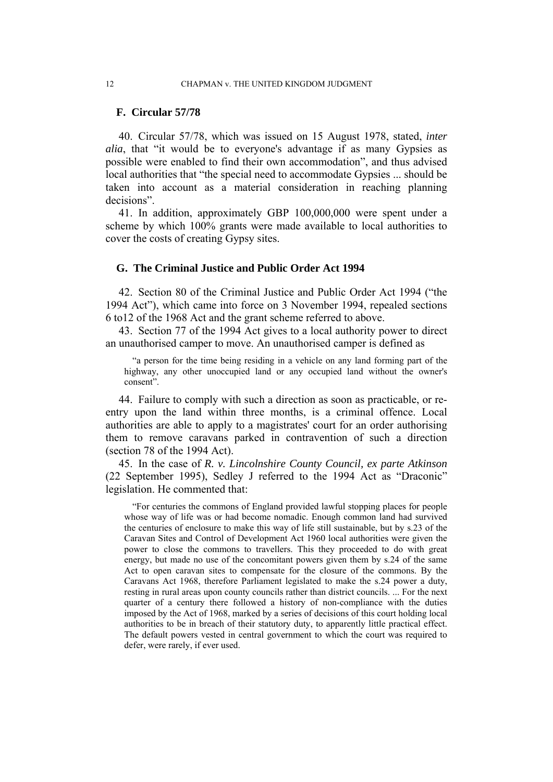#### 12 CHAPMAN v. THE UNITED KINGDOM JUDGMENT

#### **F. Circular 57/78**

40. Circular 57/78, which was issued on 15 August 1978, stated, *inter alia*, that "it would be to everyone's advantage if as many Gypsies as possible were enabled to find their own accommodation", and thus advised local authorities that "the special need to accommodate Gypsies ... should be taken into account as a material consideration in reaching planning decisions".

41. In addition, approximately GBP 100,000,000 were spent under a scheme by which 100% grants were made available to local authorities to cover the costs of creating Gypsy sites.

#### **G. The Criminal Justice and Public Order Act 1994**

42. Section 80 of the Criminal Justice and Public Order Act 1994 ("the 1994 Act"), which came into force on 3 November 1994, repealed sections 6 to12 of the 1968 Act and the grant scheme referred to above.

43. Section 77 of the 1994 Act gives to a local authority power to direct an unauthorised camper to move. An unauthorised camper is defined as

"a person for the time being residing in a vehicle on any land forming part of the highway, any other unoccupied land or any occupied land without the owner's consent".

44. Failure to comply with such a direction as soon as practicable, or reentry upon the land within three months, is a criminal offence. Local authorities are able to apply to a magistrates' court for an order authorising them to remove caravans parked in contravention of such a direction (section 78 of the 1994 Act).

45. In the case of *R. v. Lincolnshire County Council, ex parte Atkinson* (22 September 1995), Sedley J referred to the 1994 Act as "Draconic" legislation. He commented that:

"For centuries the commons of England provided lawful stopping places for people whose way of life was or had become nomadic. Enough common land had survived the centuries of enclosure to make this way of life still sustainable, but by s.23 of the Caravan Sites and Control of Development Act 1960 local authorities were given the power to close the commons to travellers. This they proceeded to do with great energy, but made no use of the concomitant powers given them by s.24 of the same Act to open caravan sites to compensate for the closure of the commons. By the Caravans Act 1968, therefore Parliament legislated to make the s.24 power a duty, resting in rural areas upon county councils rather than district councils. ... For the next quarter of a century there followed a history of non-compliance with the duties imposed by the Act of 1968, marked by a series of decisions of this court holding local authorities to be in breach of their statutory duty, to apparently little practical effect. The default powers vested in central government to which the court was required to defer, were rarely, if ever used.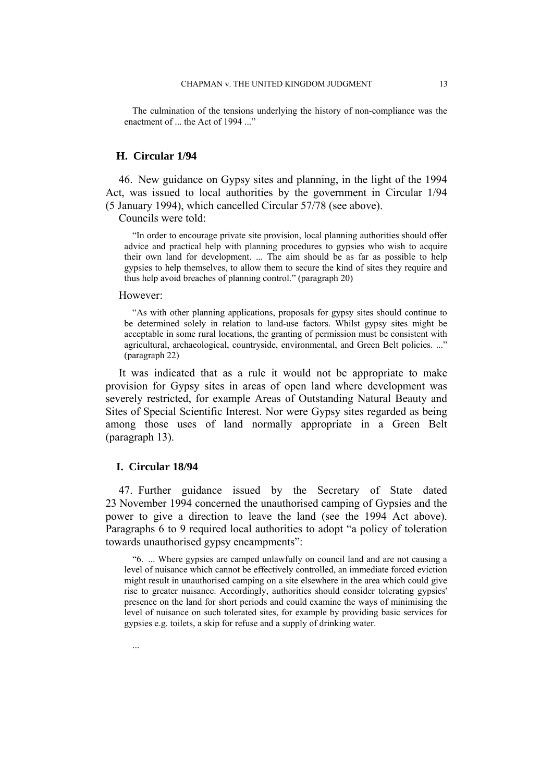The culmination of the tensions underlying the history of non-compliance was the enactment of ... the Act of 1994 ..."

#### **H. Circular 1/94**

46. New guidance on Gypsy sites and planning, in the light of the 1994 Act, was issued to local authorities by the government in Circular 1/94 (5 January 1994), which cancelled Circular 57/78 (see above).

Councils were told:

"In order to encourage private site provision, local planning authorities should offer advice and practical help with planning procedures to gypsies who wish to acquire their own land for development. ... The aim should be as far as possible to help gypsies to help themselves, to allow them to secure the kind of sites they require and thus help avoid breaches of planning control." (paragraph 20)

#### However:

"As with other planning applications, proposals for gypsy sites should continue to be determined solely in relation to land-use factors. Whilst gypsy sites might be acceptable in some rural locations, the granting of permission must be consistent with agricultural, archaeological, countryside, environmental, and Green Belt policies. ..." (paragraph 22)

It was indicated that as a rule it would not be appropriate to make provision for Gypsy sites in areas of open land where development was severely restricted, for example Areas of Outstanding Natural Beauty and Sites of Special Scientific Interest. Nor were Gypsy sites regarded as being among those uses of land normally appropriate in a Green Belt (paragraph 13).

#### **I. Circular 18/94**

...

47. Further guidance issued by the Secretary of State dated 23 November 1994 concerned the unauthorised camping of Gypsies and the power to give a direction to leave the land (see the 1994 Act above). Paragraphs 6 to 9 required local authorities to adopt "a policy of toleration towards unauthorised gypsy encampments":

"6. ... Where gypsies are camped unlawfully on council land and are not causing a level of nuisance which cannot be effectively controlled, an immediate forced eviction might result in unauthorised camping on a site elsewhere in the area which could give rise to greater nuisance. Accordingly, authorities should consider tolerating gypsies' presence on the land for short periods and could examine the ways of minimising the level of nuisance on such tolerated sites, for example by providing basic services for gypsies e.g. toilets, a skip for refuse and a supply of drinking water.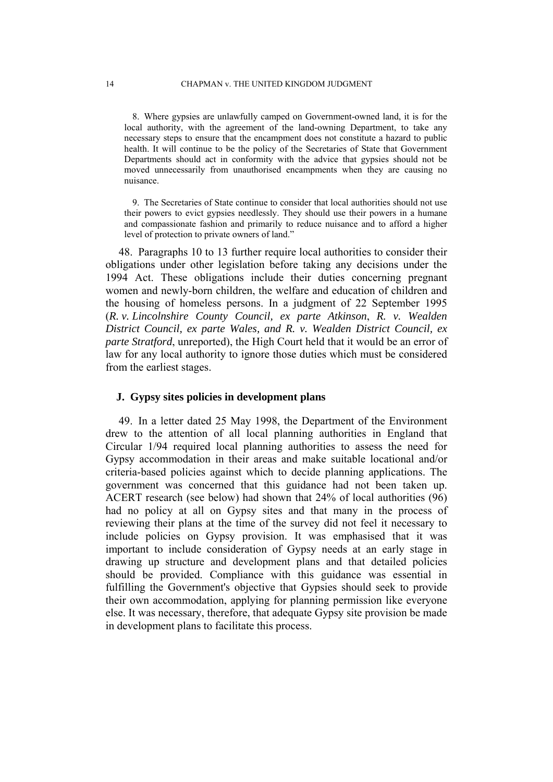8. Where gypsies are unlawfully camped on Government-owned land, it is for the local authority, with the agreement of the land-owning Department, to take any necessary steps to ensure that the encampment does not constitute a hazard to public health. It will continue to be the policy of the Secretaries of State that Government Departments should act in conformity with the advice that gypsies should not be moved unnecessarily from unauthorised encampments when they are causing no nuisance.

9. The Secretaries of State continue to consider that local authorities should not use their powers to evict gypsies needlessly. They should use their powers in a humane and compassionate fashion and primarily to reduce nuisance and to afford a higher level of protection to private owners of land."

48. Paragraphs 10 to 13 further require local authorities to consider their obligations under other legislation before taking any decisions under the 1994 Act. These obligations include their duties concerning pregnant women and newly-born children, the welfare and education of children and the housing of homeless persons. In a judgment of 22 September 1995 (*R. v. Lincolnshire County Council, ex parte Atkinson*, *R. v. Wealden District Council, ex parte Wales, and R. v. Wealden District Council, ex parte Stratford*, unreported), the High Court held that it would be an error of law for any local authority to ignore those duties which must be considered from the earliest stages.

#### **J. Gypsy sites policies in development plans**

49. In a letter dated 25 May 1998, the Department of the Environment drew to the attention of all local planning authorities in England that Circular 1/94 required local planning authorities to assess the need for Gypsy accommodation in their areas and make suitable locational and/or criteria-based policies against which to decide planning applications. The government was concerned that this guidance had not been taken up. ACERT research (see below) had shown that 24% of local authorities (96) had no policy at all on Gypsy sites and that many in the process of reviewing their plans at the time of the survey did not feel it necessary to include policies on Gypsy provision. It was emphasised that it was important to include consideration of Gypsy needs at an early stage in drawing up structure and development plans and that detailed policies should be provided. Compliance with this guidance was essential in fulfilling the Government's objective that Gypsies should seek to provide their own accommodation, applying for planning permission like everyone else. It was necessary, therefore, that adequate Gypsy site provision be made in development plans to facilitate this process.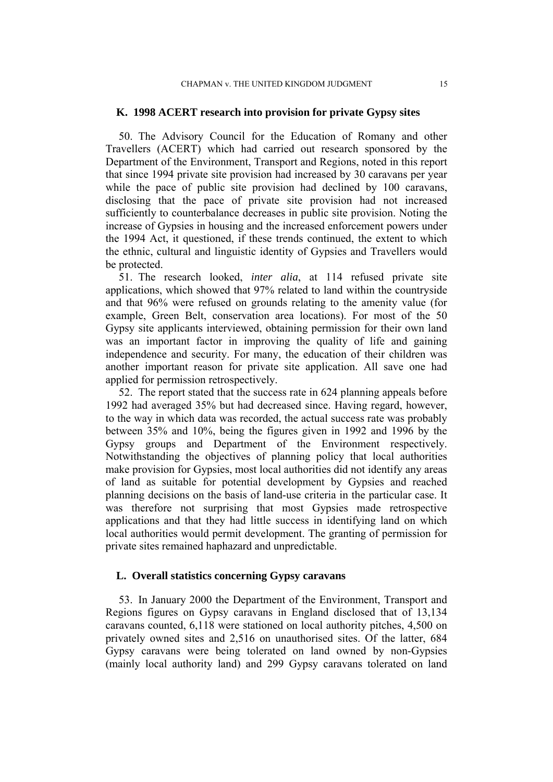#### **K. 1998 ACERT research into provision for private Gypsy sites**

50. The Advisory Council for the Education of Romany and other Travellers (ACERT) which had carried out research sponsored by the Department of the Environment, Transport and Regions, noted in this report that since 1994 private site provision had increased by 30 caravans per year while the pace of public site provision had declined by 100 caravans, disclosing that the pace of private site provision had not increased sufficiently to counterbalance decreases in public site provision. Noting the increase of Gypsies in housing and the increased enforcement powers under the 1994 Act, it questioned, if these trends continued, the extent to which the ethnic, cultural and linguistic identity of Gypsies and Travellers would be protected.

51. The research looked, *inter alia*, at 114 refused private site applications, which showed that 97% related to land within the countryside and that 96% were refused on grounds relating to the amenity value (for example, Green Belt, conservation area locations). For most of the 50 Gypsy site applicants interviewed, obtaining permission for their own land was an important factor in improving the quality of life and gaining independence and security. For many, the education of their children was another important reason for private site application. All save one had applied for permission retrospectively.

52. The report stated that the success rate in 624 planning appeals before 1992 had averaged 35% but had decreased since. Having regard, however, to the way in which data was recorded, the actual success rate was probably between 35% and 10%, being the figures given in 1992 and 1996 by the Gypsy groups and Department of the Environment respectively. Notwithstanding the objectives of planning policy that local authorities make provision for Gypsies, most local authorities did not identify any areas of land as suitable for potential development by Gypsies and reached planning decisions on the basis of land-use criteria in the particular case. It was therefore not surprising that most Gypsies made retrospective applications and that they had little success in identifying land on which local authorities would permit development. The granting of permission for private sites remained haphazard and unpredictable.

#### **L. Overall statistics concerning Gypsy caravans**

53. In January 2000 the Department of the Environment, Transport and Regions figures on Gypsy caravans in England disclosed that of 13,134 caravans counted, 6,118 were stationed on local authority pitches, 4,500 on privately owned sites and 2,516 on unauthorised sites. Of the latter, 684 Gypsy caravans were being tolerated on land owned by non-Gypsies (mainly local authority land) and 299 Gypsy caravans tolerated on land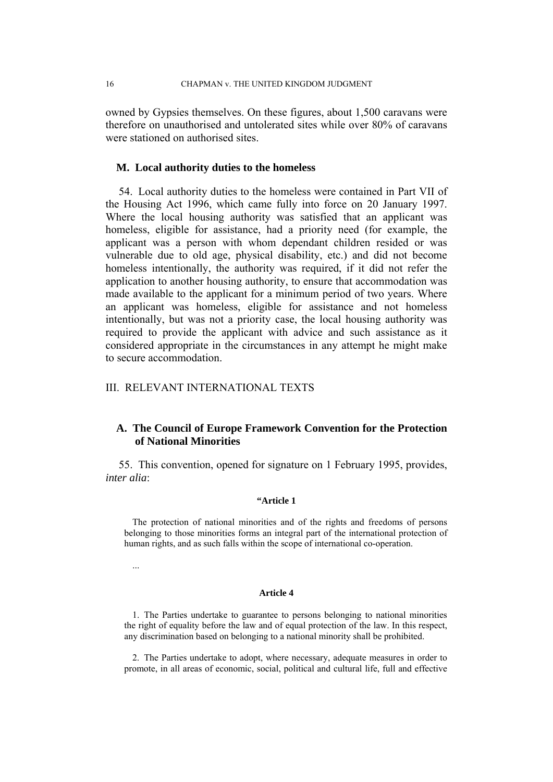owned by Gypsies themselves. On these figures, about 1,500 caravans were therefore on unauthorised and untolerated sites while over 80% of caravans were stationed on authorised sites.

## **M. Local authority duties to the homeless**

54. Local authority duties to the homeless were contained in Part VII of the Housing Act 1996, which came fully into force on 20 January 1997. Where the local housing authority was satisfied that an applicant was homeless, eligible for assistance, had a priority need (for example, the applicant was a person with whom dependant children resided or was vulnerable due to old age, physical disability, etc.) and did not become homeless intentionally, the authority was required, if it did not refer the application to another housing authority, to ensure that accommodation was made available to the applicant for a minimum period of two years. Where an applicant was homeless, eligible for assistance and not homeless intentionally, but was not a priority case, the local housing authority was required to provide the applicant with advice and such assistance as it considered appropriate in the circumstances in any attempt he might make to secure accommodation.

## III. RELEVANT INTERNATIONAL TEXTS

## **A. The Council of Europe Framework Convention for the Protection of National Minorities**

55. This convention, opened for signature on 1 February 1995, provides, *inter alia*:

#### **"Article 1**

The protection of national minorities and of the rights and freedoms of persons belonging to those minorities forms an integral part of the international protection of human rights, and as such falls within the scope of international co-operation.

...

#### **Article 4**

1. The Parties undertake to guarantee to persons belonging to national minorities the right of equality before the law and of equal protection of the law. In this respect, any discrimination based on belonging to a national minority shall be prohibited.

2. The Parties undertake to adopt, where necessary, adequate measures in order to promote, in all areas of economic, social, political and cultural life, full and effective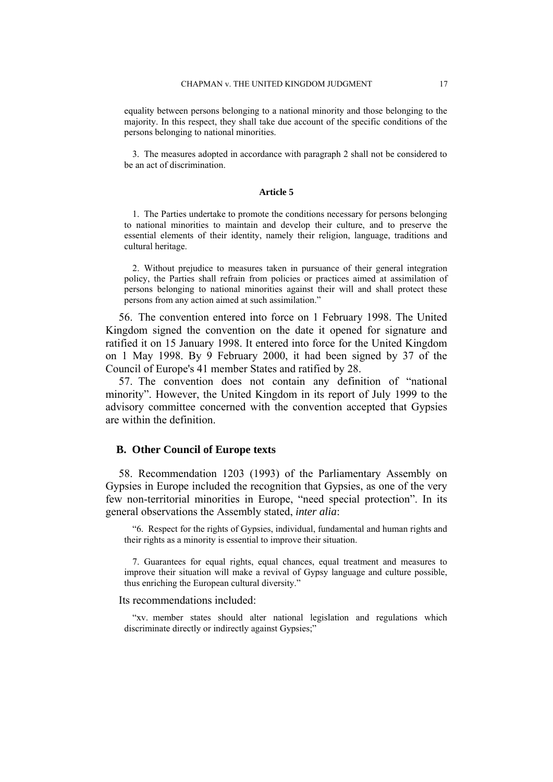equality between persons belonging to a national minority and those belonging to the majority. In this respect, they shall take due account of the specific conditions of the persons belonging to national minorities.

3. The measures adopted in accordance with paragraph 2 shall not be considered to be an act of discrimination.

#### **Article 5**

1. The Parties undertake to promote the conditions necessary for persons belonging to national minorities to maintain and develop their culture, and to preserve the essential elements of their identity, namely their religion, language, traditions and cultural heritage.

2. Without prejudice to measures taken in pursuance of their general integration policy, the Parties shall refrain from policies or practices aimed at assimilation of persons belonging to national minorities against their will and shall protect these persons from any action aimed at such assimilation."

56. The convention entered into force on 1 February 1998. The United Kingdom signed the convention on the date it opened for signature and ratified it on 15 January 1998. It entered into force for the United Kingdom on 1 May 1998. By 9 February 2000, it had been signed by 37 of the Council of Europe's 41 member States and ratified by 28.

57. The convention does not contain any definition of "national minority". However, the United Kingdom in its report of July 1999 to the advisory committee concerned with the convention accepted that Gypsies are within the definition.

#### **B. Other Council of Europe texts**

58. Recommendation 1203 (1993) of the Parliamentary Assembly on Gypsies in Europe included the recognition that Gypsies, as one of the very few non-territorial minorities in Europe, "need special protection". In its general observations the Assembly stated, *inter alia*:

"6. Respect for the rights of Gypsies, individual, fundamental and human rights and their rights as a minority is essential to improve their situation.

7. Guarantees for equal rights, equal chances, equal treatment and measures to improve their situation will make a revival of Gypsy language and culture possible, thus enriching the European cultural diversity."

#### Its recommendations included:

"xv. member states should alter national legislation and regulations which discriminate directly or indirectly against Gypsies;"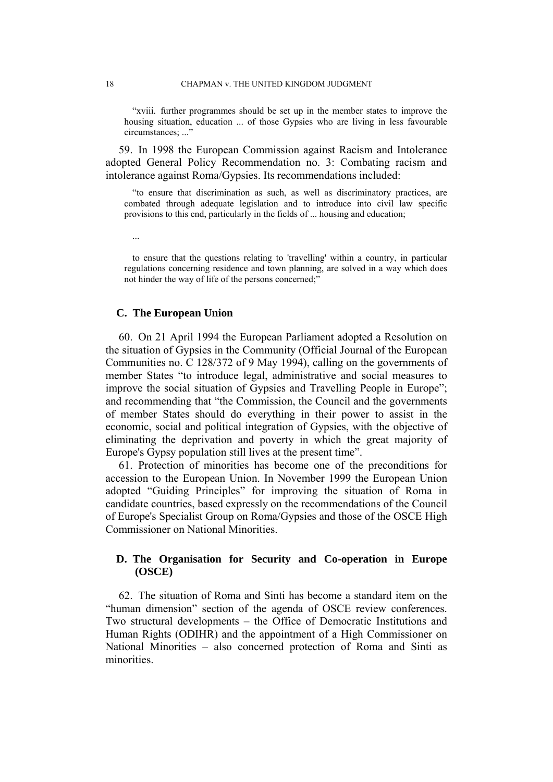"xviii. further programmes should be set up in the member states to improve the housing situation, education ... of those Gypsies who are living in less favourable circumstances; ..."

59. In 1998 the European Commission against Racism and Intolerance adopted General Policy Recommendation no. 3: Combating racism and intolerance against Roma/Gypsies. Its recommendations included:

"to ensure that discrimination as such, as well as discriminatory practices, are combated through adequate legislation and to introduce into civil law specific provisions to this end, particularly in the fields of ... housing and education;

to ensure that the questions relating to 'travelling' within a country, in particular regulations concerning residence and town planning, are solved in a way which does not hinder the way of life of the persons concerned;"

#### **C. The European Union**

60. On 21 April 1994 the European Parliament adopted a Resolution on the situation of Gypsies in the Community (Official Journal of the European Communities no. C 128/372 of 9 May 1994), calling on the governments of member States "to introduce legal, administrative and social measures to improve the social situation of Gypsies and Travelling People in Europe"; and recommending that "the Commission, the Council and the governments of member States should do everything in their power to assist in the economic, social and political integration of Gypsies, with the objective of eliminating the deprivation and poverty in which the great majority of Europe's Gypsy population still lives at the present time".

61. Protection of minorities has become one of the preconditions for accession to the European Union. In November 1999 the European Union adopted "Guiding Principles" for improving the situation of Roma in candidate countries, based expressly on the recommendations of the Council of Europe's Specialist Group on Roma/Gypsies and those of the OSCE High Commissioner on National Minorities.

## **D. The Organisation for Security and Co-operation in Europe (OSCE)**

62. The situation of Roma and Sinti has become a standard item on the "human dimension" section of the agenda of OSCE review conferences. Two structural developments – the Office of Democratic Institutions and Human Rights (ODIHR) and the appointment of a High Commissioner on National Minorities – also concerned protection of Roma and Sinti as minorities.

...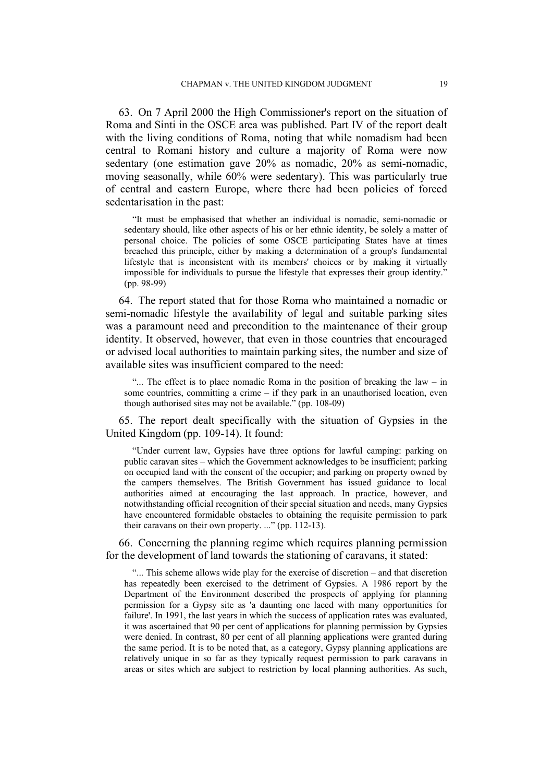63. On 7 April 2000 the High Commissioner's report on the situation of Roma and Sinti in the OSCE area was published. Part IV of the report dealt with the living conditions of Roma, noting that while nomadism had been central to Romani history and culture a majority of Roma were now sedentary (one estimation gave 20% as nomadic, 20% as semi-nomadic, moving seasonally, while 60% were sedentary). This was particularly true of central and eastern Europe, where there had been policies of forced sedentarisation in the past:

"It must be emphasised that whether an individual is nomadic, semi-nomadic or sedentary should, like other aspects of his or her ethnic identity, be solely a matter of personal choice. The policies of some OSCE participating States have at times breached this principle, either by making a determination of a group's fundamental lifestyle that is inconsistent with its members' choices or by making it virtually impossible for individuals to pursue the lifestyle that expresses their group identity." (pp. 98-99)

64. The report stated that for those Roma who maintained a nomadic or semi-nomadic lifestyle the availability of legal and suitable parking sites was a paramount need and precondition to the maintenance of their group identity. It observed, however, that even in those countries that encouraged or advised local authorities to maintain parking sites, the number and size of available sites was insufficient compared to the need:

"... The effect is to place nomadic Roma in the position of breaking the law – in some countries, committing a crime – if they park in an unauthorised location, even though authorised sites may not be available." (pp. 108-09)

65. The report dealt specifically with the situation of Gypsies in the United Kingdom (pp. 109-14). It found:

"Under current law, Gypsies have three options for lawful camping: parking on public caravan sites – which the Government acknowledges to be insufficient; parking on occupied land with the consent of the occupier; and parking on property owned by the campers themselves. The British Government has issued guidance to local authorities aimed at encouraging the last approach. In practice, however, and notwithstanding official recognition of their special situation and needs, many Gypsies have encountered formidable obstacles to obtaining the requisite permission to park their caravans on their own property. ..." (pp. 112-13).

66. Concerning the planning regime which requires planning permission for the development of land towards the stationing of caravans, it stated:

"... This scheme allows wide play for the exercise of discretion – and that discretion has repeatedly been exercised to the detriment of Gypsies. A 1986 report by the Department of the Environment described the prospects of applying for planning permission for a Gypsy site as 'a daunting one laced with many opportunities for failure'. In 1991, the last years in which the success of application rates was evaluated, it was ascertained that 90 per cent of applications for planning permission by Gypsies were denied. In contrast, 80 per cent of all planning applications were granted during the same period. It is to be noted that, as a category, Gypsy planning applications are relatively unique in so far as they typically request permission to park caravans in areas or sites which are subject to restriction by local planning authorities. As such,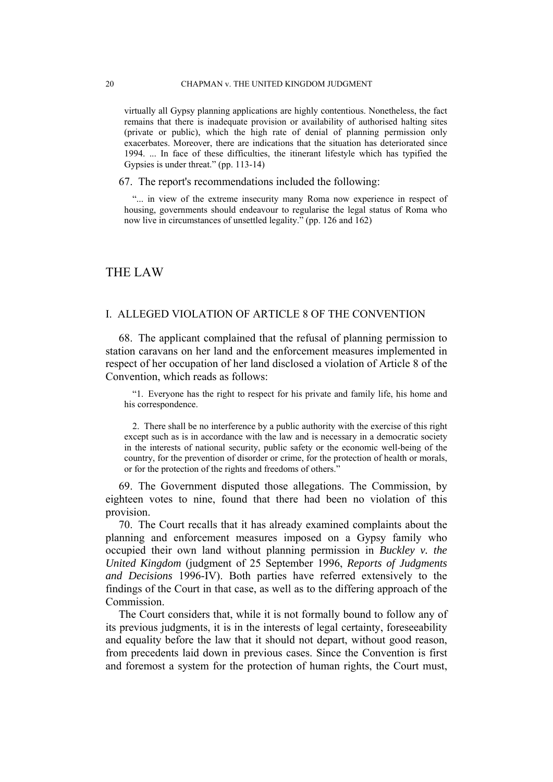virtually all Gypsy planning applications are highly contentious. Nonetheless, the fact remains that there is inadequate provision or availability of authorised halting sites (private or public), which the high rate of denial of planning permission only exacerbates. Moreover, there are indications that the situation has deteriorated since 1994. ... In face of these difficulties, the itinerant lifestyle which has typified the Gypsies is under threat." (pp. 113-14)

67. The report's recommendations included the following:

"... in view of the extreme insecurity many Roma now experience in respect of housing, governments should endeavour to regularise the legal status of Roma who now live in circumstances of unsettled legality." (pp. 126 and 162)

## THE LAW

## I. ALLEGED VIOLATION OF ARTICLE 8 OF THE CONVENTION

68. The applicant complained that the refusal of planning permission to station caravans on her land and the enforcement measures implemented in respect of her occupation of her land disclosed a violation of Article 8 of the Convention, which reads as follows:

"1. Everyone has the right to respect for his private and family life, his home and his correspondence.

2. There shall be no interference by a public authority with the exercise of this right except such as is in accordance with the law and is necessary in a democratic society in the interests of national security, public safety or the economic well-being of the country, for the prevention of disorder or crime, for the protection of health or morals, or for the protection of the rights and freedoms of others."

69. The Government disputed those allegations. The Commission, by eighteen votes to nine, found that there had been no violation of this provision.

70. The Court recalls that it has already examined complaints about the planning and enforcement measures imposed on a Gypsy family who occupied their own land without planning permission in *Buckley v. the United Kingdom* (judgment of 25 September 1996, *Reports of Judgments and Decisions* 1996-IV). Both parties have referred extensively to the findings of the Court in that case, as well as to the differing approach of the **Commission** 

The Court considers that, while it is not formally bound to follow any of its previous judgments, it is in the interests of legal certainty, foreseeability and equality before the law that it should not depart, without good reason, from precedents laid down in previous cases. Since the Convention is first and foremost a system for the protection of human rights, the Court must,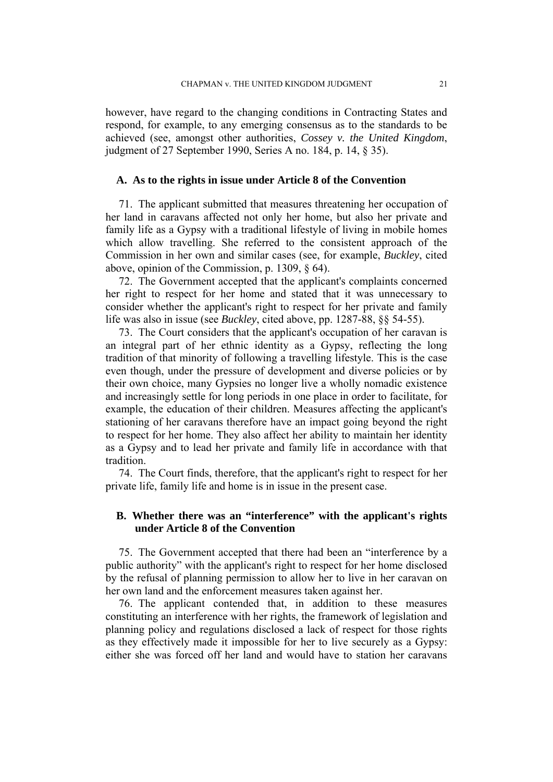however, have regard to the changing conditions in Contracting States and respond, for example, to any emerging consensus as to the standards to be achieved (see, amongst other authorities, *Cossey v. the United Kingdom*, judgment of 27 September 1990, Series A no. 184, p. 14, § 35).

#### **A. As to the rights in issue under Article 8 of the Convention**

71. The applicant submitted that measures threatening her occupation of her land in caravans affected not only her home, but also her private and family life as a Gypsy with a traditional lifestyle of living in mobile homes which allow travelling. She referred to the consistent approach of the Commission in her own and similar cases (see, for example, *Buckley*, cited above, opinion of the Commission, p. 1309, § 64).

72. The Government accepted that the applicant's complaints concerned her right to respect for her home and stated that it was unnecessary to consider whether the applicant's right to respect for her private and family life was also in issue (see *Buckley*, cited above, pp. 1287-88, §§ 54-55).

73. The Court considers that the applicant's occupation of her caravan is an integral part of her ethnic identity as a Gypsy, reflecting the long tradition of that minority of following a travelling lifestyle. This is the case even though, under the pressure of development and diverse policies or by their own choice, many Gypsies no longer live a wholly nomadic existence and increasingly settle for long periods in one place in order to facilitate, for example, the education of their children. Measures affecting the applicant's stationing of her caravans therefore have an impact going beyond the right to respect for her home. They also affect her ability to maintain her identity as a Gypsy and to lead her private and family life in accordance with that tradition.

74. The Court finds, therefore, that the applicant's right to respect for her private life, family life and home is in issue in the present case.

## **B. Whether there was an "interference" with the applicant's rights under Article 8 of the Convention**

75. The Government accepted that there had been an "interference by a public authority" with the applicant's right to respect for her home disclosed by the refusal of planning permission to allow her to live in her caravan on her own land and the enforcement measures taken against her.

76. The applicant contended that, in addition to these measures constituting an interference with her rights, the framework of legislation and planning policy and regulations disclosed a lack of respect for those rights as they effectively made it impossible for her to live securely as a Gypsy: either she was forced off her land and would have to station her caravans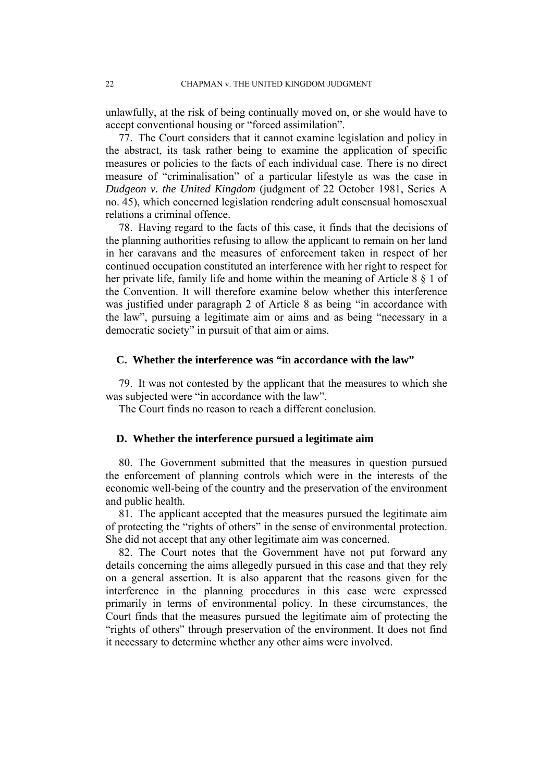unlawfully, at the risk of being continually moved on, or she would have to accept conventional housing or "forced assimilation".

77. The Court considers that it cannot examine legislation and policy in the abstract, its task rather being to examine the application of specific measures or policies to the facts of each individual case. There is no direct measure of "criminalisation" of a particular lifestyle as was the case in *Dudgeon v. the United Kingdom* (judgment of 22 October 1981, Series A no. 45), which concerned legislation rendering adult consensual homosexual relations a criminal offence.

78. Having regard to the facts of this case, it finds that the decisions of the planning authorities refusing to allow the applicant to remain on her land in her caravans and the measures of enforcement taken in respect of her continued occupation constituted an interference with her right to respect for her private life, family life and home within the meaning of Article 8 § 1 of the Convention. It will therefore examine below whether this interference was justified under paragraph 2 of Article 8 as being "in accordance with the law", pursuing a legitimate aim or aims and as being "necessary in a democratic society" in pursuit of that aim or aims.

#### **C. Whether the interference was "in accordance with the law"**

79. It was not contested by the applicant that the measures to which she was subjected were "in accordance with the law".

The Court finds no reason to reach a different conclusion.

#### **D. Whether the interference pursued a legitimate aim**

80. The Government submitted that the measures in question pursued the enforcement of planning controls which were in the interests of the economic well-being of the country and the preservation of the environment and public health.

81. The applicant accepted that the measures pursued the legitimate aim of protecting the "rights of others" in the sense of environmental protection. She did not accept that any other legitimate aim was concerned.

82. The Court notes that the Government have not put forward any details concerning the aims allegedly pursued in this case and that they rely on a general assertion. It is also apparent that the reasons given for the interference in the planning procedures in this case were expressed primarily in terms of environmental policy. In these circumstances, the Court finds that the measures pursued the legitimate aim of protecting the "rights of others" through preservation of the environment. It does not find it necessary to determine whether any other aims were involved.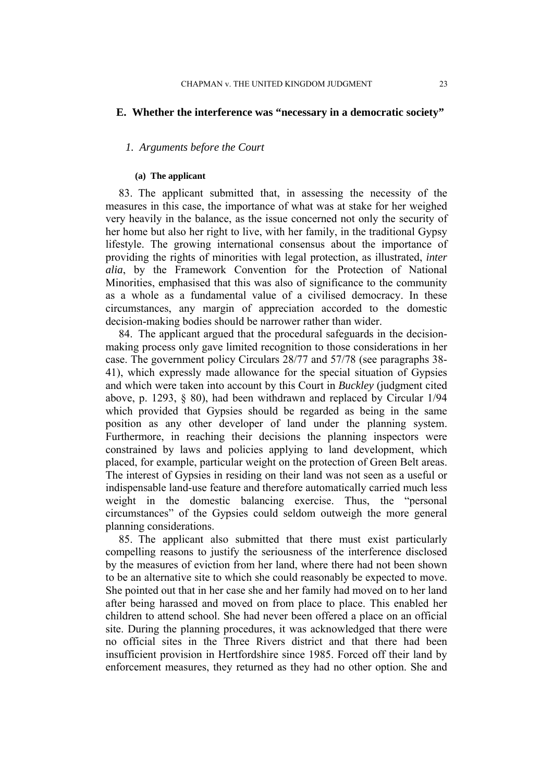#### **E. Whether the interference was "necessary in a democratic society"**

#### *1. Arguments before the Court*

#### **(a) The applicant**

83. The applicant submitted that, in assessing the necessity of the measures in this case, the importance of what was at stake for her weighed very heavily in the balance, as the issue concerned not only the security of her home but also her right to live, with her family, in the traditional Gypsy lifestyle. The growing international consensus about the importance of providing the rights of minorities with legal protection, as illustrated, *inter alia*, by the Framework Convention for the Protection of National Minorities, emphasised that this was also of significance to the community as a whole as a fundamental value of a civilised democracy. In these circumstances, any margin of appreciation accorded to the domestic decision-making bodies should be narrower rather than wider.

84. The applicant argued that the procedural safeguards in the decisionmaking process only gave limited recognition to those considerations in her case. The government policy Circulars 28/77 and 57/78 (see paragraphs 38- 41), which expressly made allowance for the special situation of Gypsies and which were taken into account by this Court in *Buckley* (judgment cited above, p. 1293, § 80), had been withdrawn and replaced by Circular 1/94 which provided that Gypsies should be regarded as being in the same position as any other developer of land under the planning system. Furthermore, in reaching their decisions the planning inspectors were constrained by laws and policies applying to land development, which placed, for example, particular weight on the protection of Green Belt areas. The interest of Gypsies in residing on their land was not seen as a useful or indispensable land-use feature and therefore automatically carried much less weight in the domestic balancing exercise. Thus, the "personal circumstances" of the Gypsies could seldom outweigh the more general planning considerations.

85. The applicant also submitted that there must exist particularly compelling reasons to justify the seriousness of the interference disclosed by the measures of eviction from her land, where there had not been shown to be an alternative site to which she could reasonably be expected to move. She pointed out that in her case she and her family had moved on to her land after being harassed and moved on from place to place. This enabled her children to attend school. She had never been offered a place on an official site. During the planning procedures, it was acknowledged that there were no official sites in the Three Rivers district and that there had been insufficient provision in Hertfordshire since 1985. Forced off their land by enforcement measures, they returned as they had no other option. She and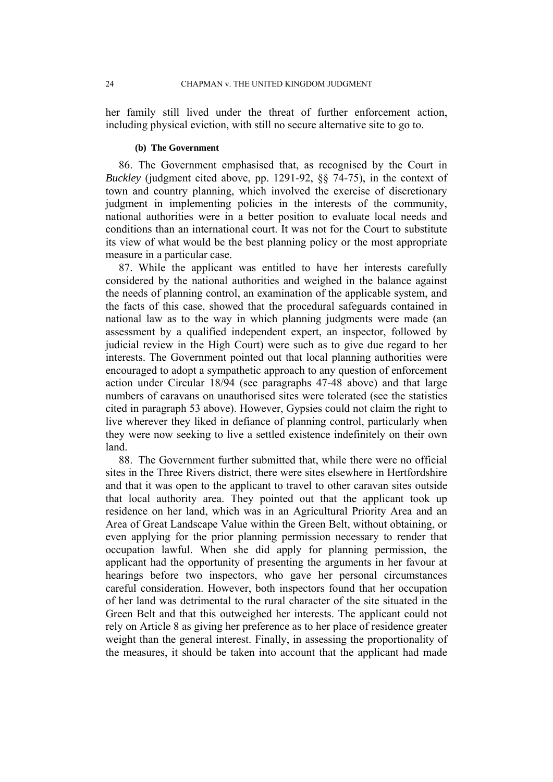her family still lived under the threat of further enforcement action, including physical eviction, with still no secure alternative site to go to.

#### **(b) The Government**

86. The Government emphasised that, as recognised by the Court in *Buckley* (judgment cited above, pp. 1291-92, §§ 74-75), in the context of town and country planning, which involved the exercise of discretionary judgment in implementing policies in the interests of the community, national authorities were in a better position to evaluate local needs and conditions than an international court. It was not for the Court to substitute its view of what would be the best planning policy or the most appropriate measure in a particular case.

87. While the applicant was entitled to have her interests carefully considered by the national authorities and weighed in the balance against the needs of planning control, an examination of the applicable system, and the facts of this case, showed that the procedural safeguards contained in national law as to the way in which planning judgments were made (an assessment by a qualified independent expert, an inspector, followed by judicial review in the High Court) were such as to give due regard to her interests. The Government pointed out that local planning authorities were encouraged to adopt a sympathetic approach to any question of enforcement action under Circular 18/94 (see paragraphs 47-48 above) and that large numbers of caravans on unauthorised sites were tolerated (see the statistics cited in paragraph 53 above). However, Gypsies could not claim the right to live wherever they liked in defiance of planning control, particularly when they were now seeking to live a settled existence indefinitely on their own land.

88. The Government further submitted that, while there were no official sites in the Three Rivers district, there were sites elsewhere in Hertfordshire and that it was open to the applicant to travel to other caravan sites outside that local authority area. They pointed out that the applicant took up residence on her land, which was in an Agricultural Priority Area and an Area of Great Landscape Value within the Green Belt, without obtaining, or even applying for the prior planning permission necessary to render that occupation lawful. When she did apply for planning permission, the applicant had the opportunity of presenting the arguments in her favour at hearings before two inspectors, who gave her personal circumstances careful consideration. However, both inspectors found that her occupation of her land was detrimental to the rural character of the site situated in the Green Belt and that this outweighed her interests. The applicant could not rely on Article 8 as giving her preference as to her place of residence greater weight than the general interest. Finally, in assessing the proportionality of the measures, it should be taken into account that the applicant had made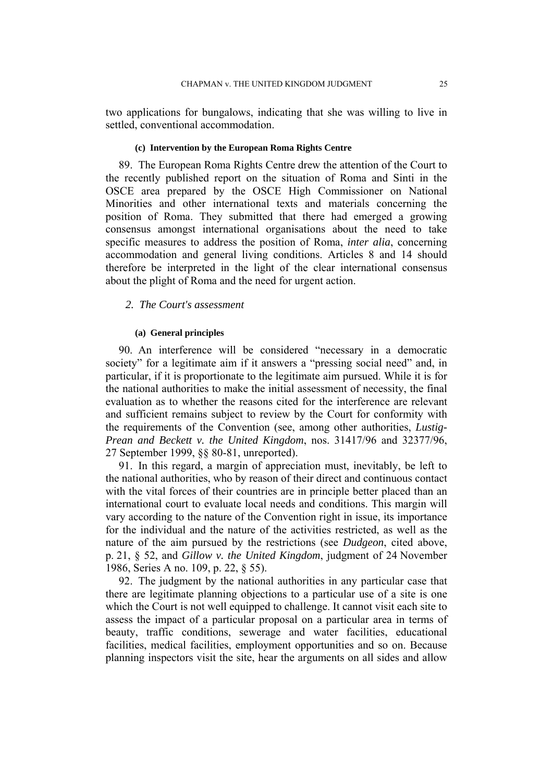two applications for bungalows, indicating that she was willing to live in settled, conventional accommodation.

#### **(c) Intervention by the European Roma Rights Centre**

89. The European Roma Rights Centre drew the attention of the Court to the recently published report on the situation of Roma and Sinti in the OSCE area prepared by the OSCE High Commissioner on National Minorities and other international texts and materials concerning the position of Roma. They submitted that there had emerged a growing consensus amongst international organisations about the need to take specific measures to address the position of Roma, *inter alia*, concerning accommodation and general living conditions. Articles 8 and 14 should therefore be interpreted in the light of the clear international consensus about the plight of Roma and the need for urgent action.

## *2. The Court's assessment*

#### **(a) General principles**

90. An interference will be considered "necessary in a democratic society" for a legitimate aim if it answers a "pressing social need" and, in particular, if it is proportionate to the legitimate aim pursued. While it is for the national authorities to make the initial assessment of necessity, the final evaluation as to whether the reasons cited for the interference are relevant and sufficient remains subject to review by the Court for conformity with the requirements of the Convention (see, among other authorities, *Lustig-Prean and Beckett v. the United Kingdom*, nos. 31417/96 and 32377/96, 27 September 1999, §§ 80-81, unreported).

91. In this regard, a margin of appreciation must, inevitably, be left to the national authorities, who by reason of their direct and continuous contact with the vital forces of their countries are in principle better placed than an international court to evaluate local needs and conditions. This margin will vary according to the nature of the Convention right in issue, its importance for the individual and the nature of the activities restricted, as well as the nature of the aim pursued by the restrictions (see *Dudgeon*, cited above, p. 21, § 52, and *Gillow v. the United Kingdom*, judgment of 24 November 1986, Series A no. 109, p. 22, § 55).

92. The judgment by the national authorities in any particular case that there are legitimate planning objections to a particular use of a site is one which the Court is not well equipped to challenge. It cannot visit each site to assess the impact of a particular proposal on a particular area in terms of beauty, traffic conditions, sewerage and water facilities, educational facilities, medical facilities, employment opportunities and so on. Because planning inspectors visit the site, hear the arguments on all sides and allow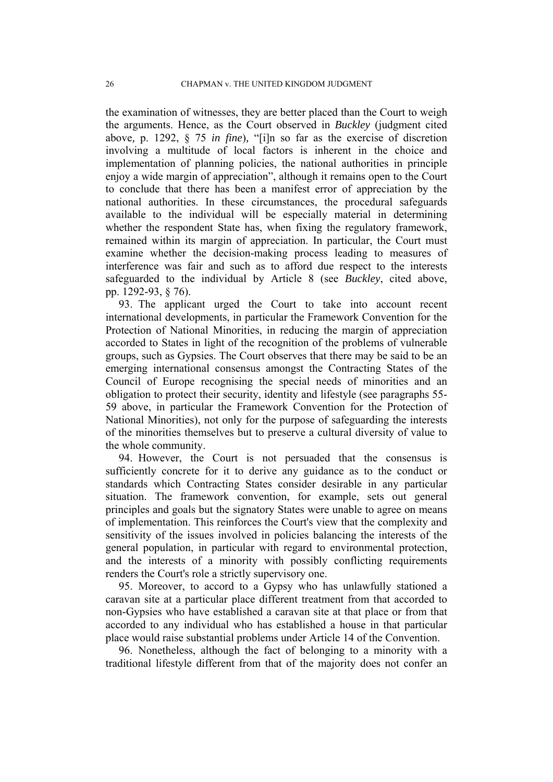the examination of witnesses, they are better placed than the Court to weigh the arguments. Hence, as the Court observed in *Buckley* (judgment cited above*,* p. 1292, § 75 *in fine*)*,* "[i]n so far as the exercise of discretion involving a multitude of local factors is inherent in the choice and implementation of planning policies, the national authorities in principle enjoy a wide margin of appreciation", although it remains open to the Court to conclude that there has been a manifest error of appreciation by the national authorities. In these circumstances, the procedural safeguards available to the individual will be especially material in determining whether the respondent State has, when fixing the regulatory framework, remained within its margin of appreciation. In particular, the Court must examine whether the decision-making process leading to measures of interference was fair and such as to afford due respect to the interests safeguarded to the individual by Article 8 (see *Buckley*, cited above, pp. 1292-93, § 76).

93. The applicant urged the Court to take into account recent international developments, in particular the Framework Convention for the Protection of National Minorities, in reducing the margin of appreciation accorded to States in light of the recognition of the problems of vulnerable groups, such as Gypsies. The Court observes that there may be said to be an emerging international consensus amongst the Contracting States of the Council of Europe recognising the special needs of minorities and an obligation to protect their security, identity and lifestyle (see paragraphs 55- 59 above, in particular the Framework Convention for the Protection of National Minorities), not only for the purpose of safeguarding the interests of the minorities themselves but to preserve a cultural diversity of value to the whole community.

94. However, the Court is not persuaded that the consensus is sufficiently concrete for it to derive any guidance as to the conduct or standards which Contracting States consider desirable in any particular situation. The framework convention, for example, sets out general principles and goals but the signatory States were unable to agree on means of implementation. This reinforces the Court's view that the complexity and sensitivity of the issues involved in policies balancing the interests of the general population, in particular with regard to environmental protection, and the interests of a minority with possibly conflicting requirements renders the Court's role a strictly supervisory one.

95. Moreover, to accord to a Gypsy who has unlawfully stationed a caravan site at a particular place different treatment from that accorded to non-Gypsies who have established a caravan site at that place or from that accorded to any individual who has established a house in that particular place would raise substantial problems under Article 14 of the Convention.

96. Nonetheless, although the fact of belonging to a minority with a traditional lifestyle different from that of the majority does not confer an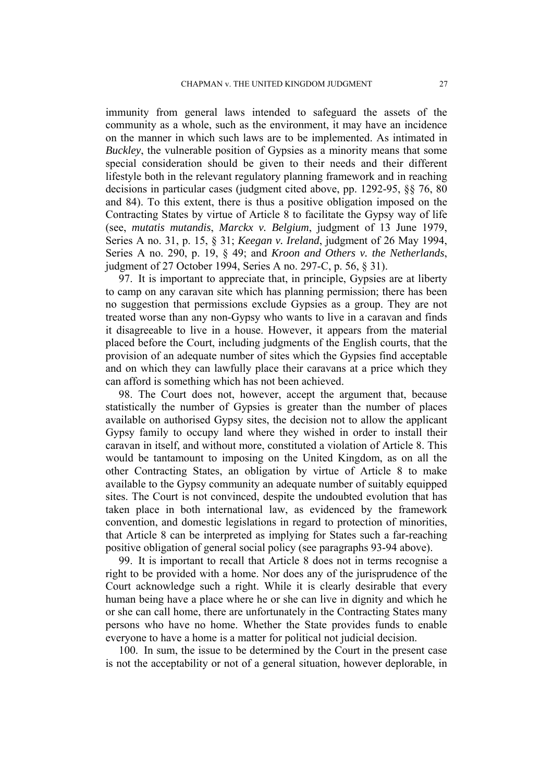immunity from general laws intended to safeguard the assets of the community as a whole, such as the environment, it may have an incidence on the manner in which such laws are to be implemented. As intimated in *Buckley*, the vulnerable position of Gypsies as a minority means that some special consideration should be given to their needs and their different lifestyle both in the relevant regulatory planning framework and in reaching decisions in particular cases (judgment cited above, pp. 1292-95, §§ 76, 80 and 84). To this extent, there is thus a positive obligation imposed on the Contracting States by virtue of Article 8 to facilitate the Gypsy way of life (see, *mutatis mutandis*, *Marckx v. Belgium*, judgment of 13 June 1979, Series A no. 31, p. 15, § 31; *Keegan v. Ireland*, judgment of 26 May 1994, Series A no. 290, p. 19, § 49; and *Kroon and Others v. the Netherlands*, judgment of 27 October 1994, Series A no. 297-C, p. 56, § 31).

97. It is important to appreciate that, in principle, Gypsies are at liberty to camp on any caravan site which has planning permission; there has been no suggestion that permissions exclude Gypsies as a group. They are not treated worse than any non-Gypsy who wants to live in a caravan and finds it disagreeable to live in a house. However, it appears from the material placed before the Court, including judgments of the English courts, that the provision of an adequate number of sites which the Gypsies find acceptable and on which they can lawfully place their caravans at a price which they can afford is something which has not been achieved.

98. The Court does not, however, accept the argument that, because statistically the number of Gypsies is greater than the number of places available on authorised Gypsy sites, the decision not to allow the applicant Gypsy family to occupy land where they wished in order to install their caravan in itself, and without more, constituted a violation of Article 8. This would be tantamount to imposing on the United Kingdom, as on all the other Contracting States, an obligation by virtue of Article 8 to make available to the Gypsy community an adequate number of suitably equipped sites. The Court is not convinced, despite the undoubted evolution that has taken place in both international law, as evidenced by the framework convention, and domestic legislations in regard to protection of minorities, that Article 8 can be interpreted as implying for States such a far-reaching positive obligation of general social policy (see paragraphs 93-94 above).

99. It is important to recall that Article 8 does not in terms recognise a right to be provided with a home. Nor does any of the jurisprudence of the Court acknowledge such a right. While it is clearly desirable that every human being have a place where he or she can live in dignity and which he or she can call home, there are unfortunately in the Contracting States many persons who have no home. Whether the State provides funds to enable everyone to have a home is a matter for political not judicial decision.

100. In sum, the issue to be determined by the Court in the present case is not the acceptability or not of a general situation, however deplorable, in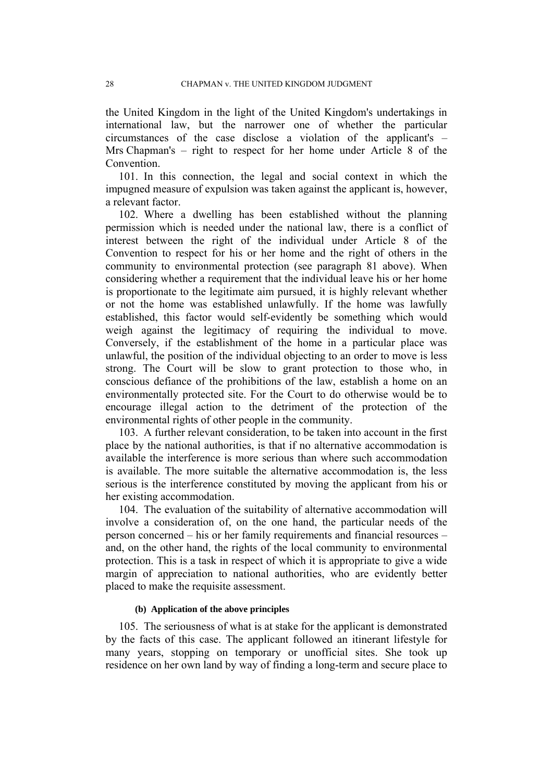the United Kingdom in the light of the United Kingdom's undertakings in international law, but the narrower one of whether the particular circumstances of the case disclose a violation of the applicant's – Mrs Chapman's – right to respect for her home under Article 8 of the Convention.

101. In this connection, the legal and social context in which the impugned measure of expulsion was taken against the applicant is, however, a relevant factor.

102. Where a dwelling has been established without the planning permission which is needed under the national law, there is a conflict of interest between the right of the individual under Article 8 of the Convention to respect for his or her home and the right of others in the community to environmental protection (see paragraph 81 above). When considering whether a requirement that the individual leave his or her home is proportionate to the legitimate aim pursued, it is highly relevant whether or not the home was established unlawfully. If the home was lawfully established, this factor would self-evidently be something which would weigh against the legitimacy of requiring the individual to move. Conversely, if the establishment of the home in a particular place was unlawful, the position of the individual objecting to an order to move is less strong. The Court will be slow to grant protection to those who, in conscious defiance of the prohibitions of the law, establish a home on an environmentally protected site. For the Court to do otherwise would be to encourage illegal action to the detriment of the protection of the environmental rights of other people in the community.

103. A further relevant consideration, to be taken into account in the first place by the national authorities, is that if no alternative accommodation is available the interference is more serious than where such accommodation is available. The more suitable the alternative accommodation is, the less serious is the interference constituted by moving the applicant from his or her existing accommodation.

104. The evaluation of the suitability of alternative accommodation will involve a consideration of, on the one hand, the particular needs of the person concerned – his or her family requirements and financial resources – and, on the other hand, the rights of the local community to environmental protection. This is a task in respect of which it is appropriate to give a wide margin of appreciation to national authorities, who are evidently better placed to make the requisite assessment.

#### **(b) Application of the above principles**

105. The seriousness of what is at stake for the applicant is demonstrated by the facts of this case. The applicant followed an itinerant lifestyle for many years, stopping on temporary or unofficial sites. She took up residence on her own land by way of finding a long-term and secure place to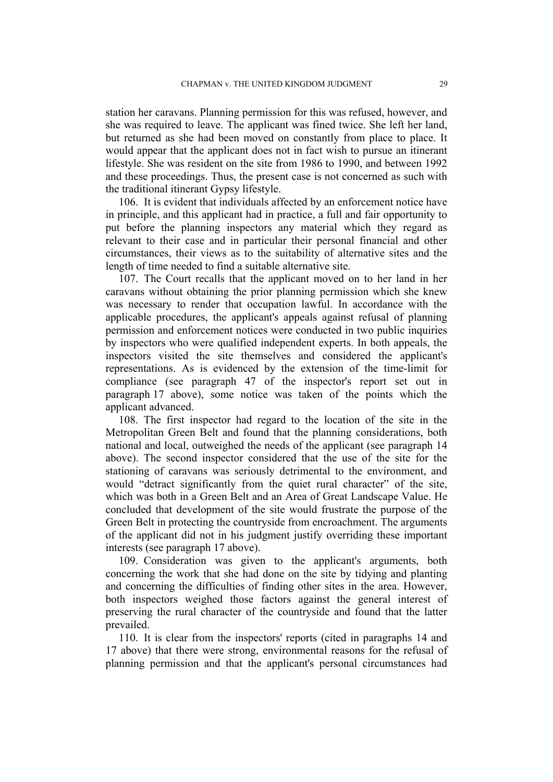station her caravans. Planning permission for this was refused, however, and she was required to leave. The applicant was fined twice. She left her land, but returned as she had been moved on constantly from place to place. It would appear that the applicant does not in fact wish to pursue an itinerant lifestyle. She was resident on the site from 1986 to 1990, and between 1992 and these proceedings. Thus, the present case is not concerned as such with the traditional itinerant Gypsy lifestyle.

106. It is evident that individuals affected by an enforcement notice have in principle, and this applicant had in practice, a full and fair opportunity to put before the planning inspectors any material which they regard as relevant to their case and in particular their personal financial and other circumstances, their views as to the suitability of alternative sites and the length of time needed to find a suitable alternative site.

107. The Court recalls that the applicant moved on to her land in her caravans without obtaining the prior planning permission which she knew was necessary to render that occupation lawful. In accordance with the applicable procedures, the applicant's appeals against refusal of planning permission and enforcement notices were conducted in two public inquiries by inspectors who were qualified independent experts. In both appeals, the inspectors visited the site themselves and considered the applicant's representations. As is evidenced by the extension of the time-limit for compliance (see paragraph 47 of the inspector's report set out in paragraph 17 above), some notice was taken of the points which the applicant advanced.

108. The first inspector had regard to the location of the site in the Metropolitan Green Belt and found that the planning considerations, both national and local, outweighed the needs of the applicant (see paragraph 14 above). The second inspector considered that the use of the site for the stationing of caravans was seriously detrimental to the environment, and would "detract significantly from the quiet rural character" of the site, which was both in a Green Belt and an Area of Great Landscape Value. He concluded that development of the site would frustrate the purpose of the Green Belt in protecting the countryside from encroachment. The arguments of the applicant did not in his judgment justify overriding these important interests (see paragraph 17 above).

109. Consideration was given to the applicant's arguments, both concerning the work that she had done on the site by tidying and planting and concerning the difficulties of finding other sites in the area. However, both inspectors weighed those factors against the general interest of preserving the rural character of the countryside and found that the latter prevailed.

110. It is clear from the inspectors' reports (cited in paragraphs 14 and 17 above) that there were strong, environmental reasons for the refusal of planning permission and that the applicant's personal circumstances had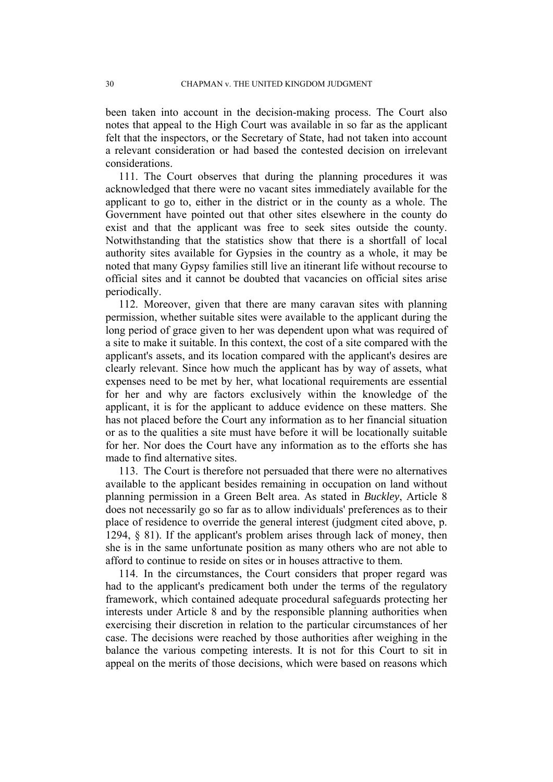been taken into account in the decision-making process. The Court also notes that appeal to the High Court was available in so far as the applicant felt that the inspectors, or the Secretary of State, had not taken into account a relevant consideration or had based the contested decision on irrelevant considerations.

111. The Court observes that during the planning procedures it was acknowledged that there were no vacant sites immediately available for the applicant to go to, either in the district or in the county as a whole. The Government have pointed out that other sites elsewhere in the county do exist and that the applicant was free to seek sites outside the county. Notwithstanding that the statistics show that there is a shortfall of local authority sites available for Gypsies in the country as a whole, it may be noted that many Gypsy families still live an itinerant life without recourse to official sites and it cannot be doubted that vacancies on official sites arise periodically.

112. Moreover, given that there are many caravan sites with planning permission, whether suitable sites were available to the applicant during the long period of grace given to her was dependent upon what was required of a site to make it suitable. In this context, the cost of a site compared with the applicant's assets, and its location compared with the applicant's desires are clearly relevant. Since how much the applicant has by way of assets, what expenses need to be met by her, what locational requirements are essential for her and why are factors exclusively within the knowledge of the applicant, it is for the applicant to adduce evidence on these matters. She has not placed before the Court any information as to her financial situation or as to the qualities a site must have before it will be locationally suitable for her. Nor does the Court have any information as to the efforts she has made to find alternative sites.

113. The Court is therefore not persuaded that there were no alternatives available to the applicant besides remaining in occupation on land without planning permission in a Green Belt area. As stated in *Buckley*, Article 8 does not necessarily go so far as to allow individuals' preferences as to their place of residence to override the general interest (judgment cited above, p. 1294, § 81). If the applicant's problem arises through lack of money, then she is in the same unfortunate position as many others who are not able to afford to continue to reside on sites or in houses attractive to them.

114. In the circumstances, the Court considers that proper regard was had to the applicant's predicament both under the terms of the regulatory framework, which contained adequate procedural safeguards protecting her interests under Article 8 and by the responsible planning authorities when exercising their discretion in relation to the particular circumstances of her case. The decisions were reached by those authorities after weighing in the balance the various competing interests. It is not for this Court to sit in appeal on the merits of those decisions, which were based on reasons which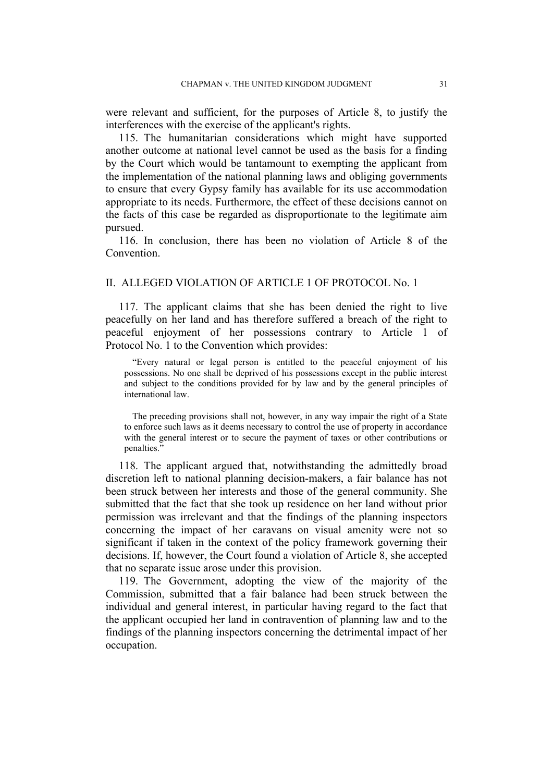were relevant and sufficient, for the purposes of Article 8, to justify the interferences with the exercise of the applicant's rights.

115. The humanitarian considerations which might have supported another outcome at national level cannot be used as the basis for a finding by the Court which would be tantamount to exempting the applicant from the implementation of the national planning laws and obliging governments to ensure that every Gypsy family has available for its use accommodation appropriate to its needs. Furthermore, the effect of these decisions cannot on the facts of this case be regarded as disproportionate to the legitimate aim pursued.

116. In conclusion, there has been no violation of Article 8 of the **Convention** 

## II. ALLEGED VIOLATION OF ARTICLE 1 OF PROTOCOL No. 1

117. The applicant claims that she has been denied the right to live peacefully on her land and has therefore suffered a breach of the right to peaceful enjoyment of her possessions contrary to Article 1 of Protocol No. 1 to the Convention which provides:

"Every natural or legal person is entitled to the peaceful enjoyment of his possessions. No one shall be deprived of his possessions except in the public interest and subject to the conditions provided for by law and by the general principles of international law.

The preceding provisions shall not, however, in any way impair the right of a State to enforce such laws as it deems necessary to control the use of property in accordance with the general interest or to secure the payment of taxes or other contributions or penalties.'

118. The applicant argued that, notwithstanding the admittedly broad discretion left to national planning decision-makers, a fair balance has not been struck between her interests and those of the general community. She submitted that the fact that she took up residence on her land without prior permission was irrelevant and that the findings of the planning inspectors concerning the impact of her caravans on visual amenity were not so significant if taken in the context of the policy framework governing their decisions. If, however, the Court found a violation of Article 8, she accepted that no separate issue arose under this provision.

119. The Government, adopting the view of the majority of the Commission, submitted that a fair balance had been struck between the individual and general interest, in particular having regard to the fact that the applicant occupied her land in contravention of planning law and to the findings of the planning inspectors concerning the detrimental impact of her occupation.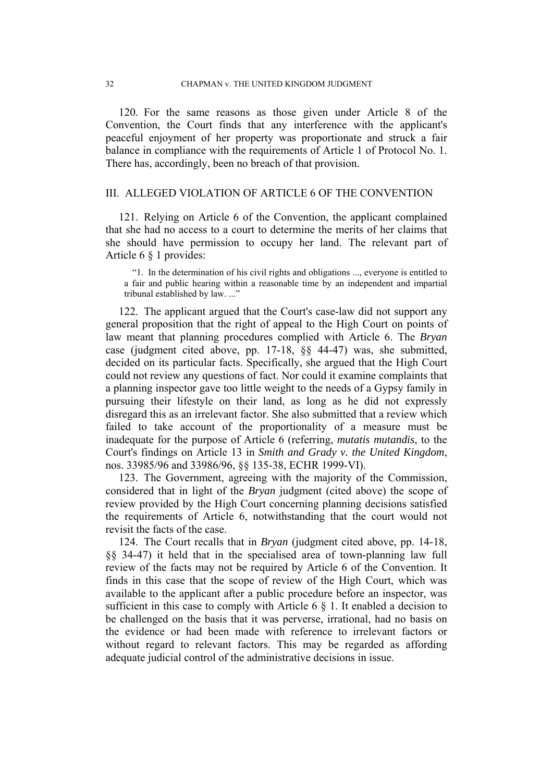120. For the same reasons as those given under Article 8 of the Convention, the Court finds that any interference with the applicant's peaceful enjoyment of her property was proportionate and struck a fair balance in compliance with the requirements of Article 1 of Protocol No. 1. There has, accordingly, been no breach of that provision.

## III. ALLEGED VIOLATION OF ARTICLE 6 OF THE CONVENTION

121. Relying on Article 6 of the Convention, the applicant complained that she had no access to a court to determine the merits of her claims that she should have permission to occupy her land. The relevant part of Article 6 § 1 provides:

"1. In the determination of his civil rights and obligations ..., everyone is entitled to a fair and public hearing within a reasonable time by an independent and impartial tribunal established by law. ..."

122. The applicant argued that the Court's case-law did not support any general proposition that the right of appeal to the High Court on points of law meant that planning procedures complied with Article 6. The *Bryan* case (judgment cited above, pp. 17-18, §§ 44-47) was, she submitted, decided on its particular facts. Specifically, she argued that the High Court could not review any questions of fact. Nor could it examine complaints that a planning inspector gave too little weight to the needs of a Gypsy family in pursuing their lifestyle on their land, as long as he did not expressly disregard this as an irrelevant factor. She also submitted that a review which failed to take account of the proportionality of a measure must be inadequate for the purpose of Article 6 (referring, *mutatis mutandis*, to the Court's findings on Article 13 in *Smith and Grady v. the United Kingdom*, nos. 33985/96 and 33986/96, §§ 135-38, ECHR 1999-VI).

123. The Government, agreeing with the majority of the Commission, considered that in light of the *Bryan* judgment (cited above) the scope of review provided by the High Court concerning planning decisions satisfied the requirements of Article 6, notwithstanding that the court would not revisit the facts of the case.

124. The Court recalls that in *Bryan* (judgment cited above, pp. 14-18, §§ 34-47) it held that in the specialised area of town-planning law full review of the facts may not be required by Article 6 of the Convention. It finds in this case that the scope of review of the High Court, which was available to the applicant after a public procedure before an inspector, was sufficient in this case to comply with Article 6 § 1. It enabled a decision to be challenged on the basis that it was perverse, irrational, had no basis on the evidence or had been made with reference to irrelevant factors or without regard to relevant factors. This may be regarded as affording adequate judicial control of the administrative decisions in issue.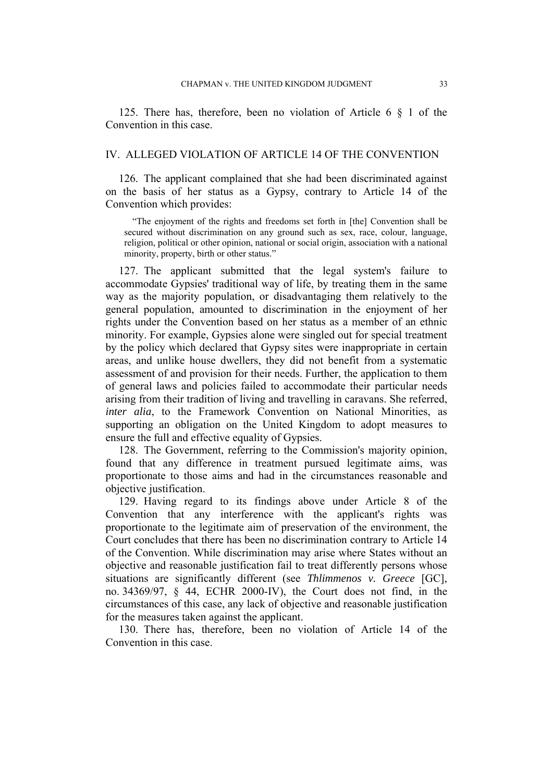125. There has, therefore, been no violation of Article 6 § 1 of the Convention in this case.

#### IV. ALLEGED VIOLATION OF ARTICLE 14 OF THE CONVENTION

126. The applicant complained that she had been discriminated against on the basis of her status as a Gypsy, contrary to Article 14 of the Convention which provides:

"The enjoyment of the rights and freedoms set forth in [the] Convention shall be secured without discrimination on any ground such as sex, race, colour, language, religion, political or other opinion, national or social origin, association with a national minority, property, birth or other status."

127. The applicant submitted that the legal system's failure to accommodate Gypsies' traditional way of life, by treating them in the same way as the majority population, or disadvantaging them relatively to the general population, amounted to discrimination in the enjoyment of her rights under the Convention based on her status as a member of an ethnic minority. For example, Gypsies alone were singled out for special treatment by the policy which declared that Gypsy sites were inappropriate in certain areas, and unlike house dwellers, they did not benefit from a systematic assessment of and provision for their needs. Further, the application to them of general laws and policies failed to accommodate their particular needs arising from their tradition of living and travelling in caravans. She referred, *inter alia*, to the Framework Convention on National Minorities, as supporting an obligation on the United Kingdom to adopt measures to ensure the full and effective equality of Gypsies.

128. The Government, referring to the Commission's majority opinion, found that any difference in treatment pursued legitimate aims, was proportionate to those aims and had in the circumstances reasonable and objective justification.

129. Having regard to its findings above under Article 8 of the Convention that any interference with the applicant's rights was proportionate to the legitimate aim of preservation of the environment, the Court concludes that there has been no discrimination contrary to Article 14 of the Convention. While discrimination may arise where States without an objective and reasonable justification fail to treat differently persons whose situations are significantly different (see *Thlimmenos v. Greece* [GC], no. 34369/97, § 44, ECHR 2000-IV), the Court does not find, in the circumstances of this case, any lack of objective and reasonable justification for the measures taken against the applicant.

130. There has, therefore, been no violation of Article 14 of the Convention in this case.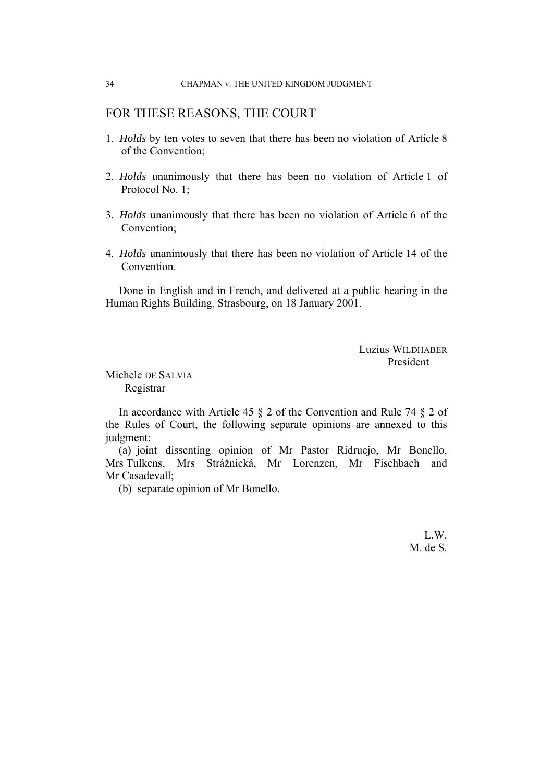## FOR THESE REASONS, THE COURT

- 1. *Holds* by ten votes to seven that there has been no violation of Article 8 of the Convention;
- 2. *Holds* unanimously that there has been no violation of Article 1 of Protocol No. 1;
- 3. *Holds* unanimously that there has been no violation of Article 6 of the Convention;
- 4. *Holds* unanimously that there has been no violation of Article 14 of the **Convention**

Done in English and in French, and delivered at a public hearing in the Human Rights Building, Strasbourg, on 18 January 2001.

> Luzius WILDHABER President

Michele DE SALVIA Registrar

In accordance with Article 45 § 2 of the Convention and Rule 74 § 2 of the Rules of Court, the following separate opinions are annexed to this judgment:

(a) joint dissenting opinion of Mr Pastor Ridruejo, Mr Bonello, Mrs Tulkens, Mrs Strážnická, Mr Lorenzen, Mr Fischbach and Mr Casadevall;

(b) separate opinion of Mr Bonello.

L.W. M. de S.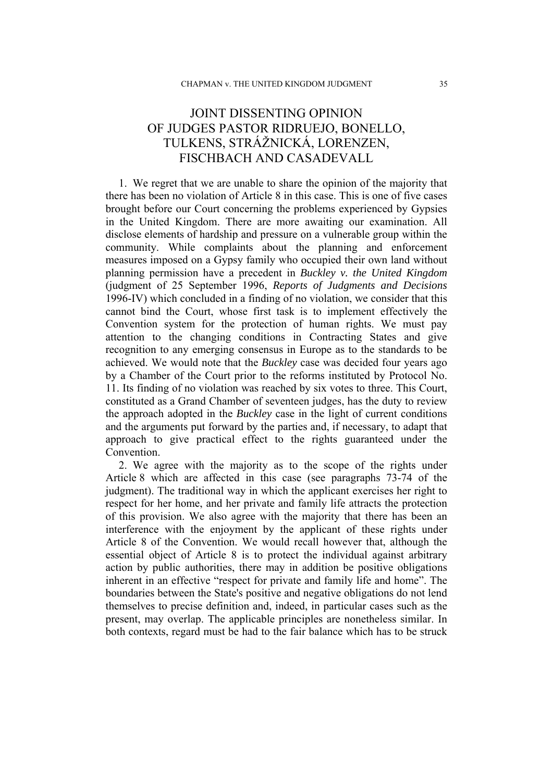## JOINT DISSENTING OPINION OF JUDGES PASTOR RIDRUEJO, BONELLO, TULKENS, STRÁŽNICKÁ, LORENZEN, FISCHBACH AND CASADEVALL

1. We regret that we are unable to share the opinion of the majority that there has been no violation of Article 8 in this case. This is one of five cases brought before our Court concerning the problems experienced by Gypsies in the United Kingdom. There are more awaiting our examination. All disclose elements of hardship and pressure on a vulnerable group within the community. While complaints about the planning and enforcement measures imposed on a Gypsy family who occupied their own land without planning permission have a precedent in *Buckley v. the United Kingdom* (judgment of 25 September 1996, *Reports of Judgments and Decisions* 1996-IV) which concluded in a finding of no violation, we consider that this cannot bind the Court, whose first task is to implement effectively the Convention system for the protection of human rights. We must pay attention to the changing conditions in Contracting States and give recognition to any emerging consensus in Europe as to the standards to be achieved. We would note that the *Buckley* case was decided four years ago by a Chamber of the Court prior to the reforms instituted by Protocol No. 11. Its finding of no violation was reached by six votes to three. This Court, constituted as a Grand Chamber of seventeen judges, has the duty to review the approach adopted in the *Buckley* case in the light of current conditions and the arguments put forward by the parties and, if necessary, to adapt that approach to give practical effect to the rights guaranteed under the Convention.

2. We agree with the majority as to the scope of the rights under Article 8 which are affected in this case (see paragraphs 73-74 of the judgment). The traditional way in which the applicant exercises her right to respect for her home, and her private and family life attracts the protection of this provision. We also agree with the majority that there has been an interference with the enjoyment by the applicant of these rights under Article 8 of the Convention. We would recall however that, although the essential object of Article 8 is to protect the individual against arbitrary action by public authorities, there may in addition be positive obligations inherent in an effective "respect for private and family life and home". The boundaries between the State's positive and negative obligations do not lend themselves to precise definition and, indeed, in particular cases such as the present, may overlap. The applicable principles are nonetheless similar. In both contexts, regard must be had to the fair balance which has to be struck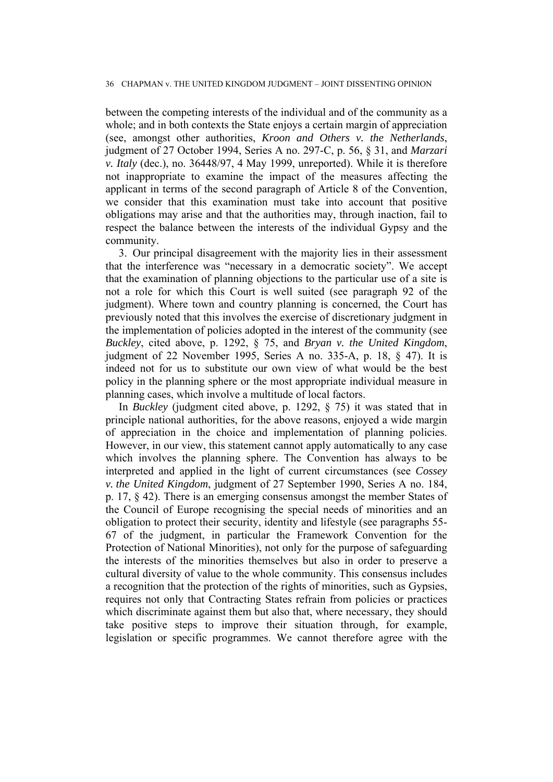#### 36 CHAPMAN v. THE UNITED KINGDOM JUDGMENT – JOINT DISSENTING OPINION

between the competing interests of the individual and of the community as a whole; and in both contexts the State enjoys a certain margin of appreciation (see, amongst other authorities, *Kroon and Others v. the Netherlands*, judgment of 27 October 1994, Series A no. 297-C, p. 56, § 31, and *Marzari v. Italy* (dec.), no. 36448/97, 4 May 1999, unreported). While it is therefore not inappropriate to examine the impact of the measures affecting the applicant in terms of the second paragraph of Article 8 of the Convention, we consider that this examination must take into account that positive obligations may arise and that the authorities may, through inaction, fail to respect the balance between the interests of the individual Gypsy and the community.

3. Our principal disagreement with the majority lies in their assessment that the interference was "necessary in a democratic society". We accept that the examination of planning objections to the particular use of a site is not a role for which this Court is well suited (see paragraph 92 of the judgment). Where town and country planning is concerned, the Court has previously noted that this involves the exercise of discretionary judgment in the implementation of policies adopted in the interest of the community (see *Buckley*, cited above, p. 1292, § 75, and *Bryan v. the United Kingdom*, judgment of 22 November 1995, Series A no. 335-A, p. 18, § 47). It is indeed not for us to substitute our own view of what would be the best policy in the planning sphere or the most appropriate individual measure in planning cases, which involve a multitude of local factors.

In *Buckley* (judgment cited above, p. 1292, § 75) it was stated that in principle national authorities, for the above reasons, enjoyed a wide margin of appreciation in the choice and implementation of planning policies. However, in our view, this statement cannot apply automatically to any case which involves the planning sphere. The Convention has always to be interpreted and applied in the light of current circumstances (see *Cossey v. the United Kingdom*, judgment of 27 September 1990, Series A no. 184, p. 17, § 42). There is an emerging consensus amongst the member States of the Council of Europe recognising the special needs of minorities and an obligation to protect their security, identity and lifestyle (see paragraphs 55- 67 of the judgment, in particular the Framework Convention for the Protection of National Minorities), not only for the purpose of safeguarding the interests of the minorities themselves but also in order to preserve a cultural diversity of value to the whole community. This consensus includes a recognition that the protection of the rights of minorities, such as Gypsies, requires not only that Contracting States refrain from policies or practices which discriminate against them but also that, where necessary, they should take positive steps to improve their situation through, for example, legislation or specific programmes. We cannot therefore agree with the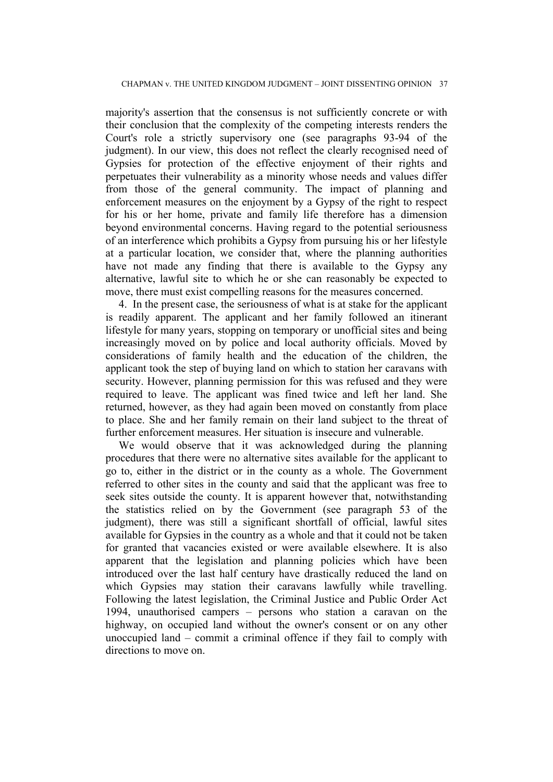majority's assertion that the consensus is not sufficiently concrete or with their conclusion that the complexity of the competing interests renders the Court's role a strictly supervisory one (see paragraphs 93-94 of the judgment). In our view, this does not reflect the clearly recognised need of Gypsies for protection of the effective enjoyment of their rights and perpetuates their vulnerability as a minority whose needs and values differ from those of the general community. The impact of planning and enforcement measures on the enjoyment by a Gypsy of the right to respect for his or her home, private and family life therefore has a dimension beyond environmental concerns. Having regard to the potential seriousness of an interference which prohibits a Gypsy from pursuing his or her lifestyle at a particular location, we consider that, where the planning authorities have not made any finding that there is available to the Gypsy any alternative, lawful site to which he or she can reasonably be expected to move, there must exist compelling reasons for the measures concerned.

4. In the present case, the seriousness of what is at stake for the applicant is readily apparent. The applicant and her family followed an itinerant lifestyle for many years, stopping on temporary or unofficial sites and being increasingly moved on by police and local authority officials. Moved by considerations of family health and the education of the children, the applicant took the step of buying land on which to station her caravans with security. However, planning permission for this was refused and they were required to leave. The applicant was fined twice and left her land. She returned, however, as they had again been moved on constantly from place to place. She and her family remain on their land subject to the threat of further enforcement measures. Her situation is insecure and vulnerable.

We would observe that it was acknowledged during the planning procedures that there were no alternative sites available for the applicant to go to, either in the district or in the county as a whole. The Government referred to other sites in the county and said that the applicant was free to seek sites outside the county. It is apparent however that, notwithstanding the statistics relied on by the Government (see paragraph 53 of the judgment), there was still a significant shortfall of official, lawful sites available for Gypsies in the country as a whole and that it could not be taken for granted that vacancies existed or were available elsewhere. It is also apparent that the legislation and planning policies which have been introduced over the last half century have drastically reduced the land on which Gypsies may station their caravans lawfully while travelling. Following the latest legislation, the Criminal Justice and Public Order Act 1994, unauthorised campers – persons who station a caravan on the highway, on occupied land without the owner's consent or on any other unoccupied land – commit a criminal offence if they fail to comply with directions to move on.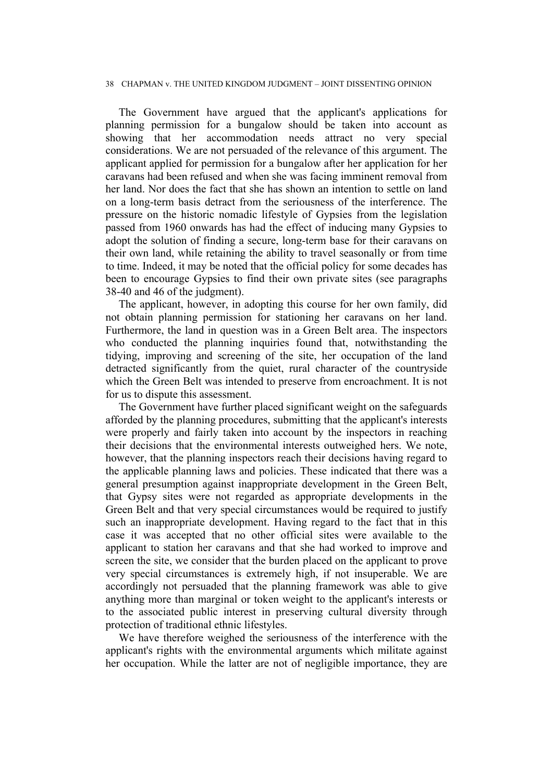#### 38 CHAPMAN v. THE UNITED KINGDOM JUDGMENT – JOINT DISSENTING OPINION

The Government have argued that the applicant's applications for planning permission for a bungalow should be taken into account as showing that her accommodation needs attract no very special considerations. We are not persuaded of the relevance of this argument. The applicant applied for permission for a bungalow after her application for her caravans had been refused and when she was facing imminent removal from her land. Nor does the fact that she has shown an intention to settle on land on a long-term basis detract from the seriousness of the interference. The pressure on the historic nomadic lifestyle of Gypsies from the legislation passed from 1960 onwards has had the effect of inducing many Gypsies to adopt the solution of finding a secure, long-term base for their caravans on their own land, while retaining the ability to travel seasonally or from time to time. Indeed, it may be noted that the official policy for some decades has been to encourage Gypsies to find their own private sites (see paragraphs 38-40 and 46 of the judgment).

The applicant, however, in adopting this course for her own family, did not obtain planning permission for stationing her caravans on her land. Furthermore, the land in question was in a Green Belt area. The inspectors who conducted the planning inquiries found that, notwithstanding the tidying, improving and screening of the site, her occupation of the land detracted significantly from the quiet, rural character of the countryside which the Green Belt was intended to preserve from encroachment. It is not for us to dispute this assessment.

The Government have further placed significant weight on the safeguards afforded by the planning procedures, submitting that the applicant's interests were properly and fairly taken into account by the inspectors in reaching their decisions that the environmental interests outweighed hers. We note, however, that the planning inspectors reach their decisions having regard to the applicable planning laws and policies. These indicated that there was a general presumption against inappropriate development in the Green Belt, that Gypsy sites were not regarded as appropriate developments in the Green Belt and that very special circumstances would be required to justify such an inappropriate development. Having regard to the fact that in this case it was accepted that no other official sites were available to the applicant to station her caravans and that she had worked to improve and screen the site, we consider that the burden placed on the applicant to prove very special circumstances is extremely high, if not insuperable. We are accordingly not persuaded that the planning framework was able to give anything more than marginal or token weight to the applicant's interests or to the associated public interest in preserving cultural diversity through protection of traditional ethnic lifestyles.

We have therefore weighed the seriousness of the interference with the applicant's rights with the environmental arguments which militate against her occupation. While the latter are not of negligible importance, they are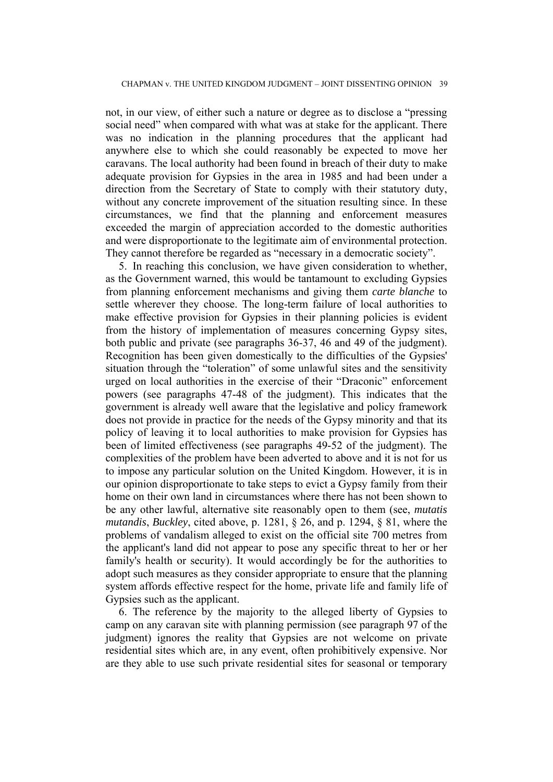not, in our view, of either such a nature or degree as to disclose a "pressing social need" when compared with what was at stake for the applicant. There was no indication in the planning procedures that the applicant had anywhere else to which she could reasonably be expected to move her caravans. The local authority had been found in breach of their duty to make adequate provision for Gypsies in the area in 1985 and had been under a direction from the Secretary of State to comply with their statutory duty, without any concrete improvement of the situation resulting since. In these circumstances, we find that the planning and enforcement measures exceeded the margin of appreciation accorded to the domestic authorities and were disproportionate to the legitimate aim of environmental protection. They cannot therefore be regarded as "necessary in a democratic society".

5. In reaching this conclusion, we have given consideration to whether, as the Government warned, this would be tantamount to excluding Gypsies from planning enforcement mechanisms and giving them *carte blanche* to settle wherever they choose. The long-term failure of local authorities to make effective provision for Gypsies in their planning policies is evident from the history of implementation of measures concerning Gypsy sites, both public and private (see paragraphs 36-37, 46 and 49 of the judgment). Recognition has been given domestically to the difficulties of the Gypsies' situation through the "toleration" of some unlawful sites and the sensitivity urged on local authorities in the exercise of their "Draconic" enforcement powers (see paragraphs 47-48 of the judgment). This indicates that the government is already well aware that the legislative and policy framework does not provide in practice for the needs of the Gypsy minority and that its policy of leaving it to local authorities to make provision for Gypsies has been of limited effectiveness (see paragraphs 49-52 of the judgment). The complexities of the problem have been adverted to above and it is not for us to impose any particular solution on the United Kingdom. However, it is in our opinion disproportionate to take steps to evict a Gypsy family from their home on their own land in circumstances where there has not been shown to be any other lawful, alternative site reasonably open to them (see, *mutatis mutandis*, *Buckley*, cited above, p. 1281, § 26, and p. 1294, § 81, where the problems of vandalism alleged to exist on the official site 700 metres from the applicant's land did not appear to pose any specific threat to her or her family's health or security). It would accordingly be for the authorities to adopt such measures as they consider appropriate to ensure that the planning system affords effective respect for the home, private life and family life of Gypsies such as the applicant.

6. The reference by the majority to the alleged liberty of Gypsies to camp on any caravan site with planning permission (see paragraph 97 of the judgment) ignores the reality that Gypsies are not welcome on private residential sites which are, in any event, often prohibitively expensive. Nor are they able to use such private residential sites for seasonal or temporary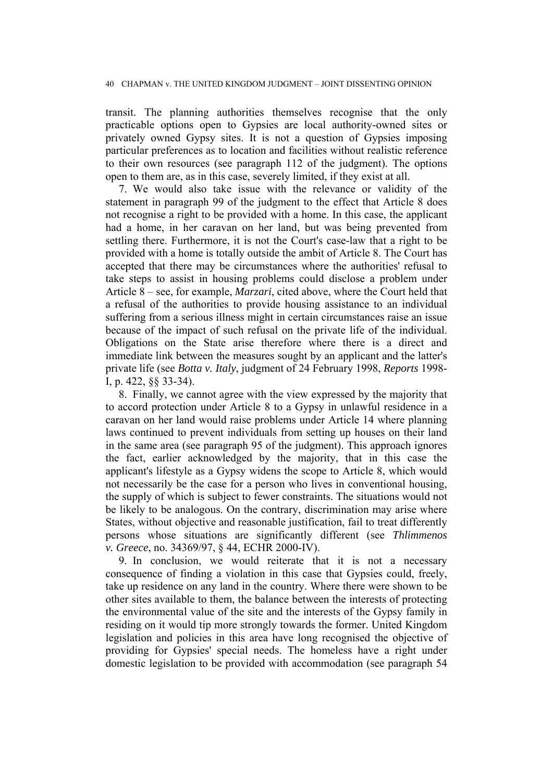#### 40 CHAPMAN v. THE UNITED KINGDOM JUDGMENT – JOINT DISSENTING OPINION

transit. The planning authorities themselves recognise that the only practicable options open to Gypsies are local authority-owned sites or privately owned Gypsy sites. It is not a question of Gypsies imposing particular preferences as to location and facilities without realistic reference to their own resources (see paragraph 112 of the judgment). The options open to them are, as in this case, severely limited, if they exist at all.

7. We would also take issue with the relevance or validity of the statement in paragraph 99 of the judgment to the effect that Article 8 does not recognise a right to be provided with a home. In this case, the applicant had a home, in her caravan on her land, but was being prevented from settling there. Furthermore, it is not the Court's case-law that a right to be provided with a home is totally outside the ambit of Article 8. The Court has accepted that there may be circumstances where the authorities' refusal to take steps to assist in housing problems could disclose a problem under Article 8 – see, for example, *Marzari*, cited above, where the Court held that a refusal of the authorities to provide housing assistance to an individual suffering from a serious illness might in certain circumstances raise an issue because of the impact of such refusal on the private life of the individual. Obligations on the State arise therefore where there is a direct and immediate link between the measures sought by an applicant and the latter's private life (see *Botta v. Italy*, judgment of 24 February 1998, *Reports* 1998- I, p. 422, §§ 33-34).

8. Finally, we cannot agree with the view expressed by the majority that to accord protection under Article 8 to a Gypsy in unlawful residence in a caravan on her land would raise problems under Article 14 where planning laws continued to prevent individuals from setting up houses on their land in the same area (see paragraph 95 of the judgment). This approach ignores the fact, earlier acknowledged by the majority, that in this case the applicant's lifestyle as a Gypsy widens the scope to Article 8, which would not necessarily be the case for a person who lives in conventional housing, the supply of which is subject to fewer constraints. The situations would not be likely to be analogous. On the contrary, discrimination may arise where States, without objective and reasonable justification, fail to treat differently persons whose situations are significantly different (see *Thlimmenos v. Greece*, no. 34369/97, § 44, ECHR 2000-IV).

9. In conclusion, we would reiterate that it is not a necessary consequence of finding a violation in this case that Gypsies could, freely, take up residence on any land in the country. Where there were shown to be other sites available to them, the balance between the interests of protecting the environmental value of the site and the interests of the Gypsy family in residing on it would tip more strongly towards the former. United Kingdom legislation and policies in this area have long recognised the objective of providing for Gypsies' special needs. The homeless have a right under domestic legislation to be provided with accommodation (see paragraph 54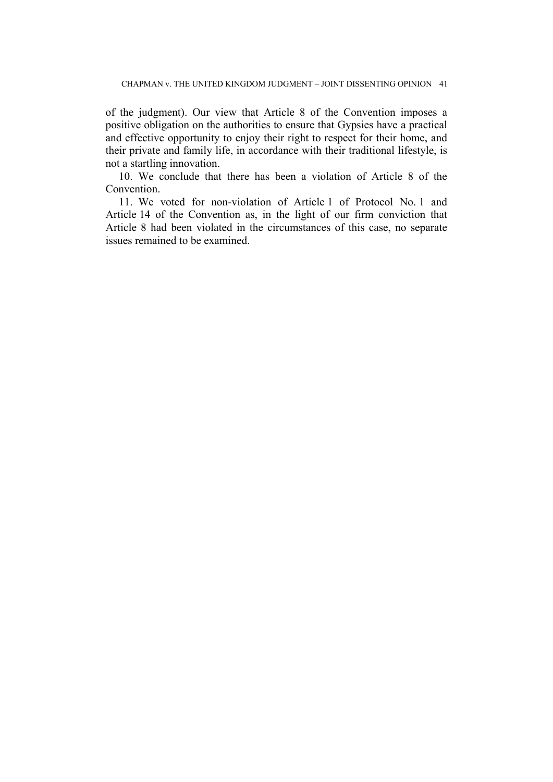of the judgment). Our view that Article 8 of the Convention imposes a positive obligation on the authorities to ensure that Gypsies have a practical and effective opportunity to enjoy their right to respect for their home, and their private and family life, in accordance with their traditional lifestyle, is not a startling innovation.

10. We conclude that there has been a violation of Article 8 of the Convention.

11. We voted for non-violation of Article 1 of Protocol No. 1 and Article 14 of the Convention as, in the light of our firm conviction that Article 8 had been violated in the circumstances of this case, no separate issues remained to be examined.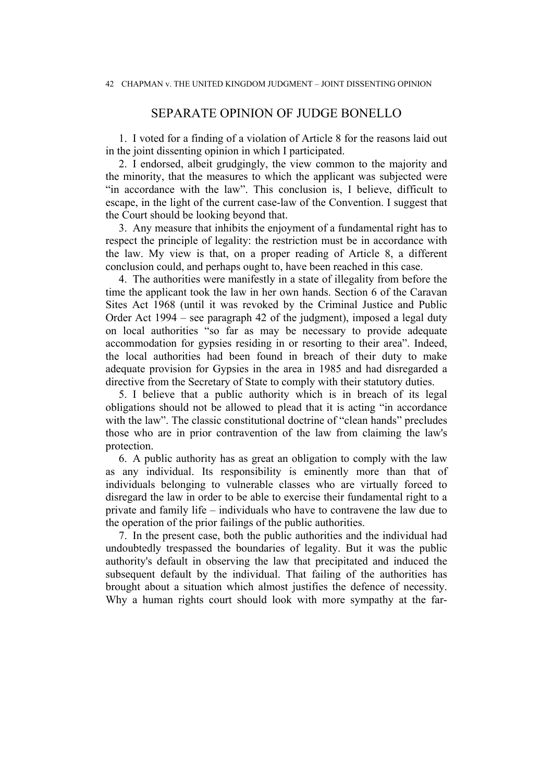## SEPARATE OPINION OF JUDGE BONELLO

1. I voted for a finding of a violation of Article 8 for the reasons laid out in the joint dissenting opinion in which I participated.

2. I endorsed, albeit grudgingly, the view common to the majority and the minority, that the measures to which the applicant was subjected were "in accordance with the law". This conclusion is, I believe, difficult to escape, in the light of the current case-law of the Convention. I suggest that the Court should be looking beyond that.

3. Any measure that inhibits the enjoyment of a fundamental right has to respect the principle of legality: the restriction must be in accordance with the law. My view is that, on a proper reading of Article 8, a different conclusion could, and perhaps ought to, have been reached in this case.

4. The authorities were manifestly in a state of illegality from before the time the applicant took the law in her own hands. Section 6 of the Caravan Sites Act 1968 (until it was revoked by the Criminal Justice and Public Order Act 1994 – see paragraph 42 of the judgment), imposed a legal duty on local authorities "so far as may be necessary to provide adequate accommodation for gypsies residing in or resorting to their area". Indeed, the local authorities had been found in breach of their duty to make adequate provision for Gypsies in the area in 1985 and had disregarded a directive from the Secretary of State to comply with their statutory duties.

5. I believe that a public authority which is in breach of its legal obligations should not be allowed to plead that it is acting "in accordance with the law". The classic constitutional doctrine of "clean hands" precludes those who are in prior contravention of the law from claiming the law's protection.

6. A public authority has as great an obligation to comply with the law as any individual. Its responsibility is eminently more than that of individuals belonging to vulnerable classes who are virtually forced to disregard the law in order to be able to exercise their fundamental right to a private and family life – individuals who have to contravene the law due to the operation of the prior failings of the public authorities.

7. In the present case, both the public authorities and the individual had undoubtedly trespassed the boundaries of legality. But it was the public authority's default in observing the law that precipitated and induced the subsequent default by the individual. That failing of the authorities has brought about a situation which almost justifies the defence of necessity. Why a human rights court should look with more sympathy at the far